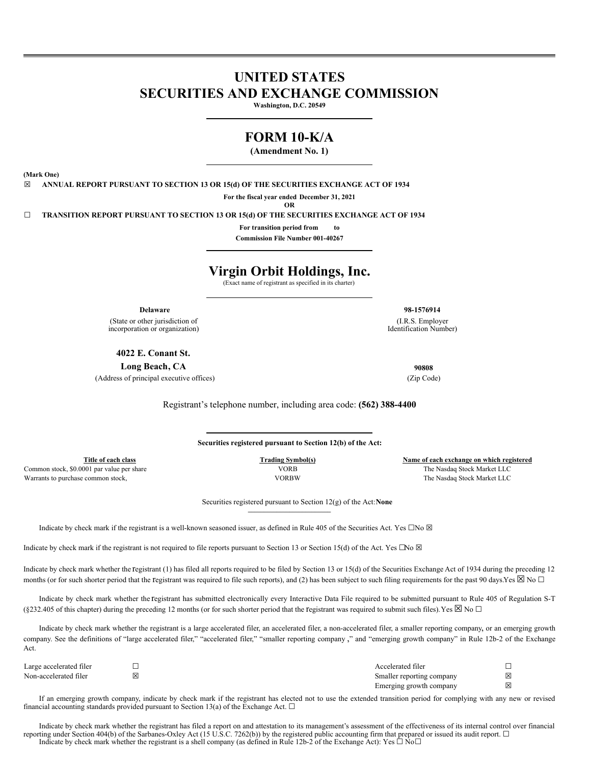# **UNITED STATES SECURITIES AND EXCHANGE COMMISSION**

**Washington, D.C. 20549**

## **FORM 10-K/A**

**(Amendment No. 1)**

**(Mark One)**

☒ **ANNUAL REPORT PURSUANT TO SECTION 13 OR 15(d) OF THE SECURITIES EXCHANGE ACT OF 1934**

**For the fiscal year ended December 31, 2021 OR**

☐ **TRANSITION REPORT PURSUANT TO SECTION 13 OR 15(d) OF THE SECURITIES EXCHANGE ACT OF 1934**

**For transition period from to Commission File Number 001-40267**

# **Virgin Orbit Holdings, Inc.**

(Exact name of registrant as specified in its charter)

**Delaware 98-1576914**

(State or other jurisdiction of incorporation or organization)

**4022 E. Conant St.**

**Long Beach, CA 90808** (Address of principal executive offices) (Zip Code)

Registrant's telephone number, including area code: **(562) 388-4400**

**Securities registered pursuant to Section 12(b) of the Act:**

Warrants to purchase common stock, VORBW The Nasdaq Stock Market LLC

**Title of each class Trading Symbol(s) Name of each exchange on which registered** Common stock, \$0.0001 par value per share VORB The Nasdaq Stock Market LLC

> Securities registered pursuant to Section 12(g) of the Act:**None \_\_\_\_\_\_\_\_\_\_\_\_\_\_\_\_\_\_\_\_\_\_\_\_\_\_**

Indicate by check mark if the registrant is a well-known seasoned issuer, as defined in Rule 405 of the Securities Act. Yes  $\Box$ No  $\boxtimes$ 

Indicate by check mark if the registrant is not required to file reports pursuant to Section 13 or Section 15(d) of the Act. Yes  $\Box$ No  $\boxtimes$ 

Indicate by check mark whether the registrant (1) has filed all reports required to be filed by Section 13 or 15(d) of the Securities Exchange Act of 1934 during the preceding 12 months (or for such shorter period that the registrant was required to file such reports), and (2) has been subject to such filing requirements for the past 90 days.Yes  $\boxtimes$  No  $\Box$ 

Indicate by check mark whether the registrant has submitted electronically every Interactive Data File required to be submitted pursuant to Rule 405 of Regulation S-T (§232.405 of this chapter) during the preceding 12 months (or for such shorter period that the registrant was required to submit such files). Yes  $\boxtimes$  No  $\Box$ 

Indicate by check mark whether the registrant is a large accelerated filer, an accelerated filer, a non-accelerated filer, a smaller reporting company, or an emerging growth company. See the definitions of "large accelerated filer," "accelerated filer," "smaller reporting company ," and "emerging growth company" in Rule 12b-2 of the Exchange Act.

| Large accelerated filer |   | Accelerated filer         |   |
|-------------------------|---|---------------------------|---|
| Non-accelerated filer   | ⊠ | Smaller reporting company | X |
|                         |   | Emerging growth company   | 図 |

If an emerging growth company, indicate by check mark if the registrant has elected not to use the extended transition period for complying with any new or revised financial accounting standards provided pursuant to Section 13(a) of the Exchange Act.  $\Box$ 

Indicate by check mark whether the registrant has filed a report on and attestation to its management's assessment of the effectiveness of its internal control over financial reporting under Section 404(b) of the Sarbanes-Oxley Act (15 U.S.C. 7262(b)) by the registered public accounting firm that prepared or issued its audit report. □ Indicate by check mark whether the registrant is a shell company (as defined in Rule 12b-2 of the Exchange Act): Yes  $\Box$  No $\Box$ 

(I.R.S. Employer Identification Number)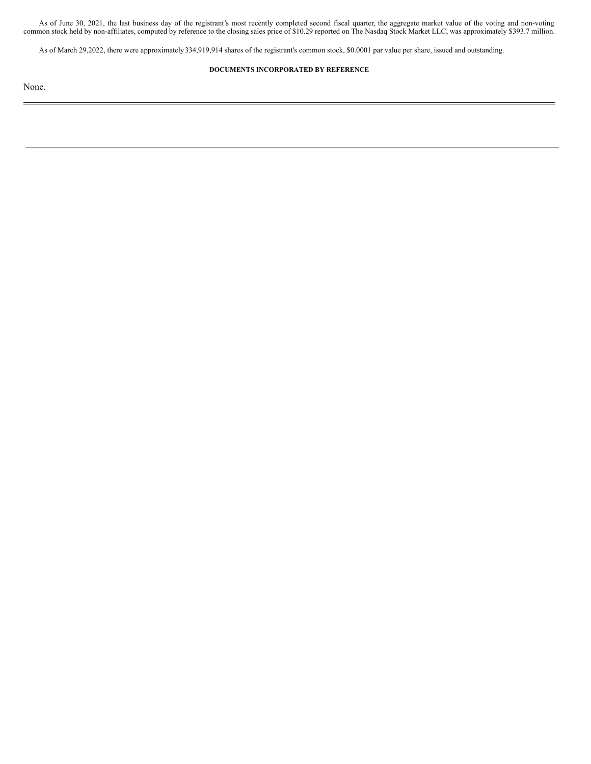As of June 30, 2021, the last business day of the registrant's most recently completed second fiscal quarter, the aggregate market value of the voting and non-voting common stock held by non-affiliates, computed by reference to the closing sales price of \$10.29 reported on The Nasdaq Stock Market LLC, was approximately \$393.7 million.

As of March 29,2022, there were approximately 334,919,914 shares of the registrant's common stock, \$0.0001 par value per share, issued and outstanding.

## **DOCUMENTS INCORPORATED BY REFERENCE**

None.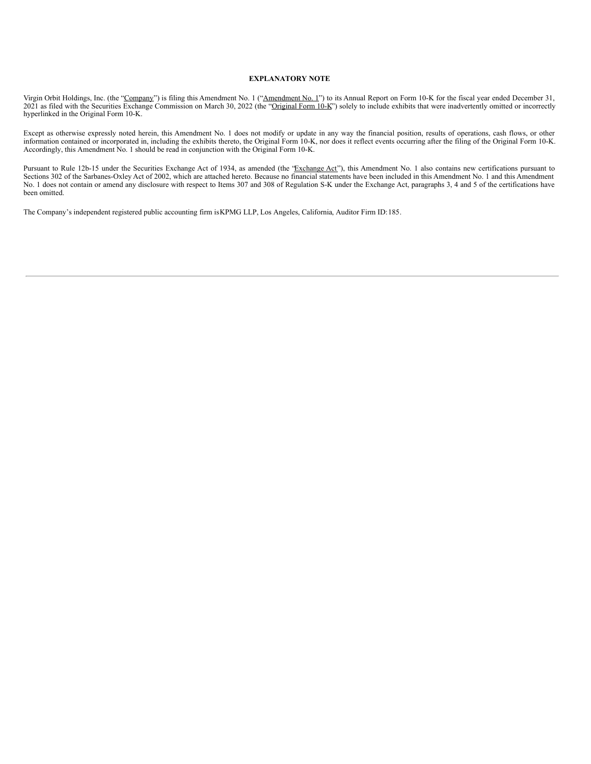#### **EXPLANATORY NOTE**

Virgin Orbit Holdings, Inc. (the "Company") is filing this Amendment No. 1 ("Amendment No. 1") to its Annual Report on Form 10-K for the fiscal year ended December 31, 2021 as filed with the Securities Exchange Commission on March 30, 2022 (the "Original Form 10-K") solely to include exhibits that were inadvertently omitted or incorrectly hyperlinked in the Original Form 10-K.

Except as otherwise expressly noted herein, this Amendment No. 1 does not modify or update in any way the financial position, results of operations, cash flows, or other information contained or incorporated in, including the exhibits thereto, the Original Form 10-K, nor does it reflect events occurring after the filing of the Original Form 10-K. Accordingly, this Amendment No. 1 should be read in conjunction with the Original Form 10-K.

Pursuant to Rule 12b-15 under the Securities Exchange Act of 1934, as amended (the 'Exchange Act''), this Amendment No. 1 also contains new certifications pursuant to Sections 302 of the Sarbanes-Oxley Act of 2002, which are attached hereto. Because no financial statements have been included in this Amendment No. 1 and this Amendment No. 1 does not contain or amend any disclosure with respect to Items 307 and 308 of Regulation S-K under the Exchange Act, paragraphs 3, 4 and 5 of the certifications have been omitted.

The Company's independent registered public accounting firm isKPMG LLP, Los Angeles, California, Auditor Firm ID:185.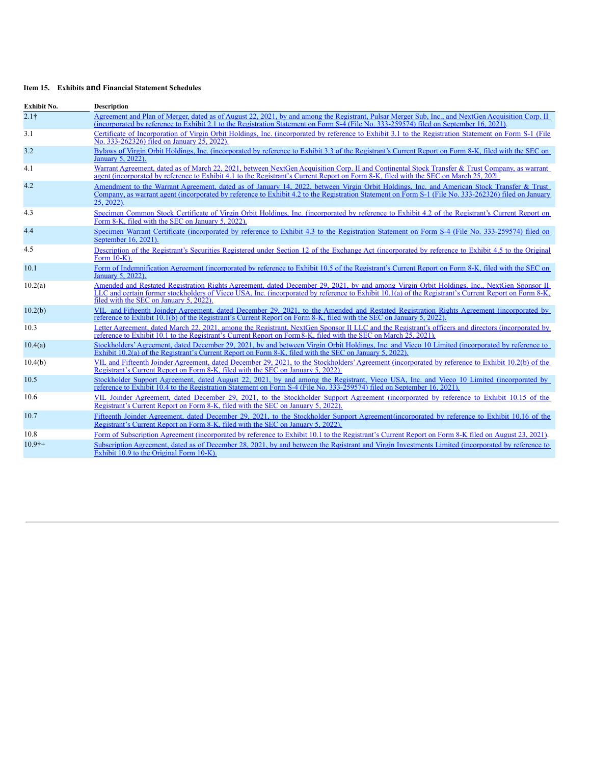## **Item 15. Exhibits and Financial Statement Schedules**

| Exhibit No.      | <b>Description</b>                                                                                                                                                                                                                                                                                                                           |  |  |
|------------------|----------------------------------------------------------------------------------------------------------------------------------------------------------------------------------------------------------------------------------------------------------------------------------------------------------------------------------------------|--|--|
| 2.1 <sup>†</sup> | Agreement and Plan of Merger, dated as of August 22, 2021, by and among the Registrant, Pulsar Merger Sub. Inc., and NextGen Acquisition Corp. II<br>(incorporated by reference to Exhibit 2.1 to the Registration Statement on Form S-4 (File No. 333-259574) filed on September 16, 2021).                                                 |  |  |
| 3.1              | Certificate of Incorporation of Virgin Orbit Holdings, Inc. (incorporated by reference to Exhibit 3.1 to the Registration Statement on Form S-1 (File<br>No. 333-262326) filed on January 25, 2022).                                                                                                                                         |  |  |
| 3.2              | Bylaws of Virgin Orbit Holdings, Inc. (incorporated by reference to Exhibit 3.3 of the Registrant's Current Report on Form 8-K, filed with the SEC on<br>January 5, 2022).                                                                                                                                                                   |  |  |
| 4.1              | Warrant Agreement, dated as of March 22, 2021, between NextGen Acquisition Corp. II and Continental Stock Transfer & Trust Company, as warrant<br>agent (incorporated by reference to Exhibit 4.1 to the Registrant's Current Report on Form 8-K, filed with the SEC on March 25, 2021)                                                      |  |  |
| 4.2              | Amendment to the Warrant Agreement, dated as of January 14, 2022, between Virgin Orbit Holdings, Inc. and American Stock Transfer & Trust<br>Company, as warrant agent (incorporated by reference to Exhibit 4.2 to the Registration Statement on Form S-1 (File No. 333-262326) filed on January<br>25, 2022).                              |  |  |
| 4.3              | Specimen Common Stock Certificate of Virgin Orbit Holdings. Inc. (incorporated by reference to Exhibit 4.2 of the Registrant's Current Report on<br>Form 8-K, filed with the SEC on January 5, 2022).                                                                                                                                        |  |  |
| 4.4              | Specimen Warrant Certificate (incorporated by reference to Exhibit 4.3 to the Registration Statement on Form S-4 (File No. 333-259574) filed on<br>September 16, 2021).                                                                                                                                                                      |  |  |
| 4.5              | Description of the Registrant's Securities Registered under Section 12 of the Exchange Act (incorporated by reference to Exhibit 4.5 to the Original<br>Form 10-K).                                                                                                                                                                          |  |  |
| 10.1             | Form of Indemnification Agreement (incorporated by reference to Exhibit 10.5 of the Registrant's Current Report on Form 8-K, filed with the SEC on<br>January 5, 2022).                                                                                                                                                                      |  |  |
| 10.2(a)          | Amended and Restated Registration Rights Agreement, dated December 29, 2021, by and among Virgin Orbit Holdings, Inc., NextGen Sponsor II<br>LLC and certain former stockholders of Vieco USA, Inc. (incorporated by reference to Exhibit 10.1(a) of the Registrant's Current Report on Form 8-K,<br>filed with the SEC on January 5, 2022). |  |  |
| 10.2(b)          | VIL and Fifteenth Joinder Agreement, dated December 29, 2021, to the Amended and Restated Registration Rights Agreement (incorporated by<br>reference to Exhibit 10.1(b) of the Registrant's Current Report on Form 8-K, filed with the SEC on January 5, 2022).                                                                             |  |  |
| 10.3             | Letter Agreement, dated March 22, 2021, among the Registrant, NextGen Sponsor II LLC and the Registrant's officers and directors (incorporated by<br>reference to Exhibit 10.1 to the Registrant's Current Report on Form 8-K, filed with the SEC on March 25, 2021).                                                                        |  |  |
| 10.4(a)          | Stockholders' Agreement, dated December 29, 2021, by and between Virgin Orbit Holdings, Inc. and Vieco 10 Limited (incorporated by reference to<br>Exhibit 10.2(a) of the Registrant's Current Report on Form 8-K, filed with the SEC on January 5, 2022).                                                                                   |  |  |
| 10.4(b)          | VIL and Fifteenth Joinder Agreement, dated December 29, 2021, to the Stockholders' Agreement (incorporated by reference to Exhibit 10.2(b) of the<br>Registrant's Current Report on Form 8-K, filed with the SEC on January 5, 2022).                                                                                                        |  |  |
| 10.5             | Stockholder Support Agreement, dated August 22, 2021, by and among the Registrant, Vieco USA, Inc. and Vieco 10 Limited (incorporated by<br>reference to Exhibit 10.4 to the Registration Statement on Form S-4 (File No. 333-259574) filed on September 16, 2021).                                                                          |  |  |
| 10.6             | VIL Joinder Agreement, dated December 29, 2021, to the Stockholder Support Agreement (incorporated by reference to Exhibit 10.15 of the<br>Registrant's Current Report on Form 8-K, filed with the SEC on January 5, 2022).                                                                                                                  |  |  |
| 10.7             | Fifteenth Joinder Agreement, dated December 29, 2021, to the Stockholder Support Agreement(incorporated by reference to Exhibit 10.16 of the<br>Registrant's Current Report on Form 8-K, filed with the SEC on January 5, 2022).                                                                                                             |  |  |
| 10.8             | Form of Subscription Agreement (incorporated by reference to Exhibit 10.1 to the Registrant's Current Report on Form 8-K filed on August 23, 2021).                                                                                                                                                                                          |  |  |
| $10.9$ †+        | Subscription Agreement, dated as of December 28, 2021, by and between the Registrant and Virgin Investments Limited (incorporated by reference to<br>Exhibit 10.9 to the Original Form 10-K).                                                                                                                                                |  |  |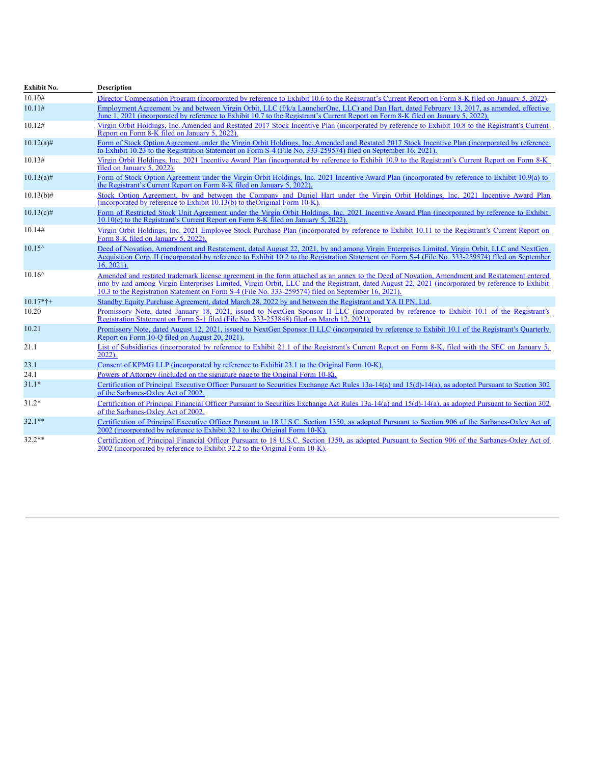| Exhibit No.     | <b>Description</b>                                                                                                                                                                                                                                                                                                                                                                                    |  |  |
|-----------------|-------------------------------------------------------------------------------------------------------------------------------------------------------------------------------------------------------------------------------------------------------------------------------------------------------------------------------------------------------------------------------------------------------|--|--|
| 10.10#          | Director Compensation Program (incorporated by reference to Exhibit 10.6 to the Registrant's Current Report on Form 8-K filed on January 5, 2022).                                                                                                                                                                                                                                                    |  |  |
| 10.11#          | Employment Agreement by and between Virgin Orbit, LLC (f/k/a LauncherOne, LLC) and Dan Hart, dated February 13, 2017, as amended, effective<br>June 1, 2021 (incorporated by reference to Exhibit 10.7 to the Registrant's Current Report on Form 8-K filed on January 5, 2022).                                                                                                                      |  |  |
| 10.12#          | Virgin Orbit Holdings, Inc. Amended and Restated 2017 Stock Incentive Plan (incorporated by reference to Exhibit 10.8 to the Registrant's Current<br>Report on Form 8-K filed on January 5, 2022).                                                                                                                                                                                                    |  |  |
| $10.12(a)$ #    | Form of Stock Option Agreement under the Virgin Orbit Holdings, Inc. Amended and Restated 2017 Stock Incentive Plan (incorporated by reference<br>to Exhibit 10.23 to the Registration Statement on Form S-4 (File No. 333-259574) filed on September 16, 2021).                                                                                                                                      |  |  |
| 10.13#          | Virgin Orbit Holdings, Inc. 2021 Incentive Award Plan (incorporated by reference to Exhibit 10.9 to the Registrant's Current Report on Form 8-K<br>filed on January 5, 2022).                                                                                                                                                                                                                         |  |  |
| $10.13(a)$ #    | Form of Stock Option Agreement under the Virgin Orbit Holdings, Inc. 2021 Incentive Award Plan (incorporated by reference to Exhibit 10.9(a) to<br>the Registrant's Current Report on Form 8-K filed on January 5, 2022).                                                                                                                                                                             |  |  |
| $10.13(b)$ #    | Stock Option Agreement, by and between the Company and Daniel Hart under the Virgin Orbit Holdings, Inc. 2021 Incentive Award Plan<br>(incorporated by reference to Exhibit 10.13(b) to the Original Form 10-K).                                                                                                                                                                                      |  |  |
| $10.13(c)$ #    | Form of Restricted Stock Unit Agreement under the Virgin Orbit Holdings. Inc. 2021 Incentive Award Plan (incorporated by reference to Exhibit<br>10.10(c) to the Registrant's Current Report on Form 8-K filed on January 5, 2022).                                                                                                                                                                   |  |  |
| 10.14#          | Virgin Orbit Holdings, Inc. 2021 Employee Stock Purchase Plan (incorporated by reference to Exhibit 10.11 to the Registrant's Current Report on<br>Form 8-K filed on January 5, 2022).                                                                                                                                                                                                                |  |  |
| $10.15^{\circ}$ | Deed of Novation, Amendment and Restatement, dated August 22, 2021, by and among Virgin Enterprises Limited, Virgin Orbit, LLC and NextGen<br>Acquisition Corp. II (incorporated by reference to Exhibit 10.2 to the Registration Statement on Form S-4 (File No. 333-259574) filed on September<br>$16.2021$ ).                                                                                      |  |  |
| $10.16^{\circ}$ | Amended and restated trademark license agreement in the form attached as an annex to the Deed of Novation, Amendment and Restatement entered<br>into by and among Virgin Enterprises Limited, Virgin Orbit, LLC and the Registrant, dated August 22, 2021 (incorporated by reference to Exhibit<br>10.3 to the Registration Statement on Form S-4 (File No. 333-259574) filed on September 16, 2021). |  |  |
| $10.17*+$       | Standby Equity Purchase Agreement, dated March 28, 2022 by and between the Registrant and YA II PN, Ltd.                                                                                                                                                                                                                                                                                              |  |  |
| 10.20           | Promissory Note, dated January 18, 2021, issued to NextGen Sponsor II LLC (incorporated by reference to Exhibit 10.1 of the Registrant's<br>Registration Statement on Form S-1 filed (File No. 333-253848) filed on March 12, 2021).                                                                                                                                                                  |  |  |
| 10.21           | Promissory Note, dated August 12, 2021, issued to NextGen Sponsor II LLC (incorporated by reference to Exhibit 10.1 of the Registrant's Quarterly<br>Report on Form 10-Q filed on August 20, 2021).                                                                                                                                                                                                   |  |  |
| 21.1            | List of Subsidiaries (incorporated by reference to Exhibit 21.1 of the Registrant's Current Report on Form 8-K, filed with the SEC on January 5,<br>$2022$ ).                                                                                                                                                                                                                                         |  |  |
| 23.1            | Consent of KPMG LLP (incorporated by reference to Exhibit 23.1 to the Original Form 10-K).                                                                                                                                                                                                                                                                                                            |  |  |
| 24.1            | Powers of Attorney (included on the signature page to the Original Form 10-K).                                                                                                                                                                                                                                                                                                                        |  |  |
| $31.1*$         | Certification of Principal Executive Officer Pursuant to Securities Exchange Act Rules 13a-14(a) and 15(d)-14(a), as adopted Pursuant to Section 302<br>of the Sarbanes-Oxley Act of 2002.                                                                                                                                                                                                            |  |  |
| $31.2*$         | Certification of Principal Financial Officer Pursuant to Securities Exchange Act Rules 13a-14(a) and 15(d)-14(a), as adopted Pursuant to Section 302<br>of the Sarbanes-Oxley Act of 2002.                                                                                                                                                                                                            |  |  |
| $32.1**$        | Certification of Principal Executive Officer Pursuant to 18 U.S.C. Section 1350, as adopted Pursuant to Section 906 of the Sarbanes-Oxley Act of<br>2002 (incorporated by reference to Exhibit 32.1 to the Original Form 10-K).                                                                                                                                                                       |  |  |
| $32.2**$        | Certification of Principal Financial Officer Pursuant to 18 U.S.C. Section 1350, as adopted Pursuant to Section 906 of the Sarbanes-Oxley Act of<br>2002 (incorporated by reference to Exhibit 32.2 to the Original Form 10-K).                                                                                                                                                                       |  |  |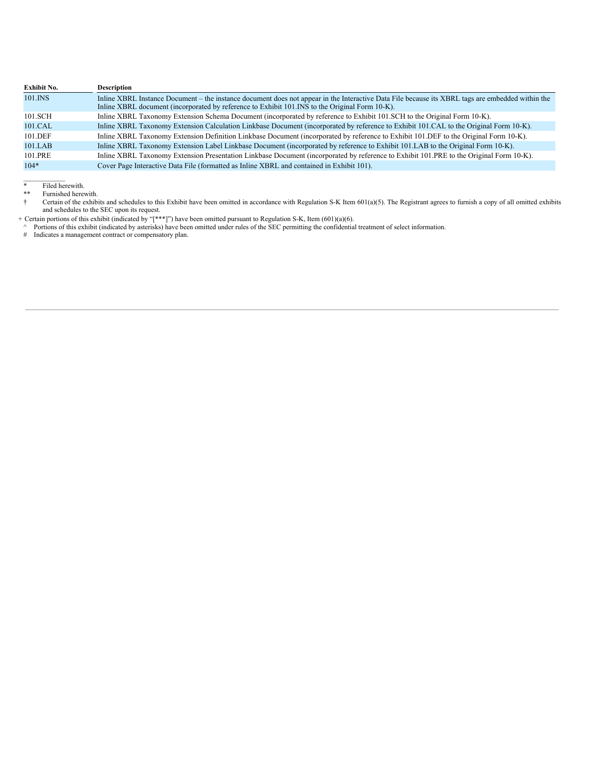| <b>Exhibit No.</b> | <b>Description</b>                                                                                                                                                                                                                                  |  |
|--------------------|-----------------------------------------------------------------------------------------------------------------------------------------------------------------------------------------------------------------------------------------------------|--|
| 101.INS            | Inline XBRL Instance Document – the instance document does not appear in the Interactive Data File because its XBRL tags are embedded within the<br>Inline XBRL document (incorporated by reference to Exhibit 101. INS to the Original Form 10-K). |  |
| 101.SCH            | Inline XBRL Taxonomy Extension Schema Document (incorporated by reference to Exhibit 101.SCH to the Original Form 10-K).                                                                                                                            |  |
| 101.CAL            | Inline XBRL Taxonomy Extension Calculation Linkbase Document (incorporated by reference to Exhibit 101.CAL to the Original Form 10-K).                                                                                                              |  |
| 101.DEF            | Inline XBRL Taxonomy Extension Definition Linkbase Document (incorporated by reference to Exhibit 101.DEF to the Original Form 10-K).                                                                                                               |  |
| 101.LAB            | Inline XBRL Taxonomy Extension Label Linkbase Document (incorporated by reference to Exhibit 101.LAB to the Original Form 10-K).                                                                                                                    |  |
| 101.PRE            | Inline XBRL Taxonomy Extension Presentation Linkbase Document (incorporated by reference to Exhibit 101.PRE to the Original Form 10-K).                                                                                                             |  |
| $104*$             | Cover Page Interactive Data File (formatted as Inline XBRL and contained in Exhibit 101).                                                                                                                                                           |  |

 $\frac{1}{2}$ \* Filed herewith.

\*\* Furnished herewith.<br>
† Certain of the exhibi † Certain of the exhibits and schedules to this Exhibit have been omitted in accordance with Regulation S-K Item 601(a)(5). The Registrant agrees to furnish a copy of all omitted exhibits and schedules to the SEC upon its

+ Certain portions of this exhibit (indicated by "[\*\*\*]") have been omitted pursuant to Regulation S-K, Item (601)(a)(6).

^ Portions of this exhibit (indicated by asterisks) have been omitted under rules of the SEC permitting the confidential treatment of select information. # Indicates a management contract or compensatory plan.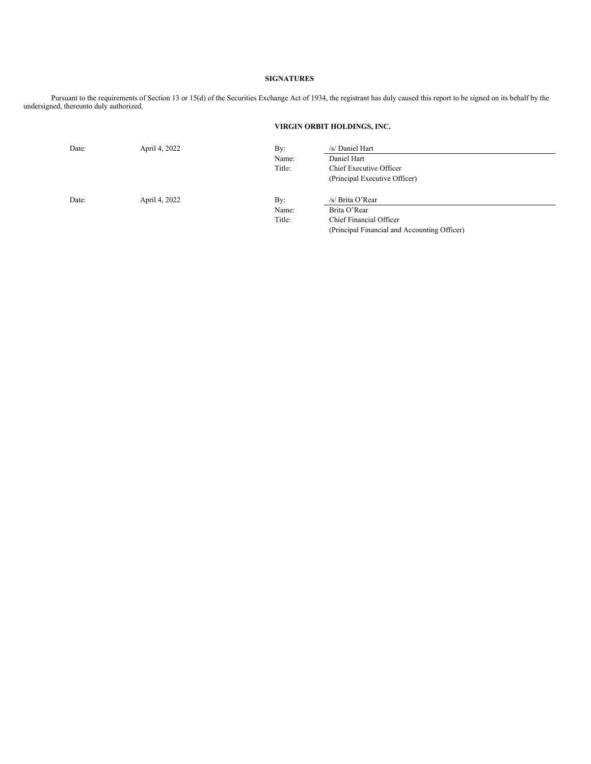#### **SIGNATURES**

Pursuant to the requirements of Section 13 or 15(d) of the Securities Exchange Act of 1934, the registrant has duly caused this report to be signed on its behalf by the undersigned, thereunto duly authorized.

## **VIRGIN ORBIT HOLDINGS, INC.**

| Date: | April 4, 2022 | By:    | /s/ Daniel Hart                              |
|-------|---------------|--------|----------------------------------------------|
|       |               | Name:  | Daniel Hart                                  |
|       |               | Title: | Chief Executive Officer                      |
|       |               |        | (Principal Executive Officer)                |
| Date: | April 4, 2022 | By:    | /s/ Brita O'Rear                             |
|       |               | Name:  | Brita O'Rear                                 |
|       |               | Title: | Chief Financial Officer                      |
|       |               |        | (Principal Financial and Accounting Officer) |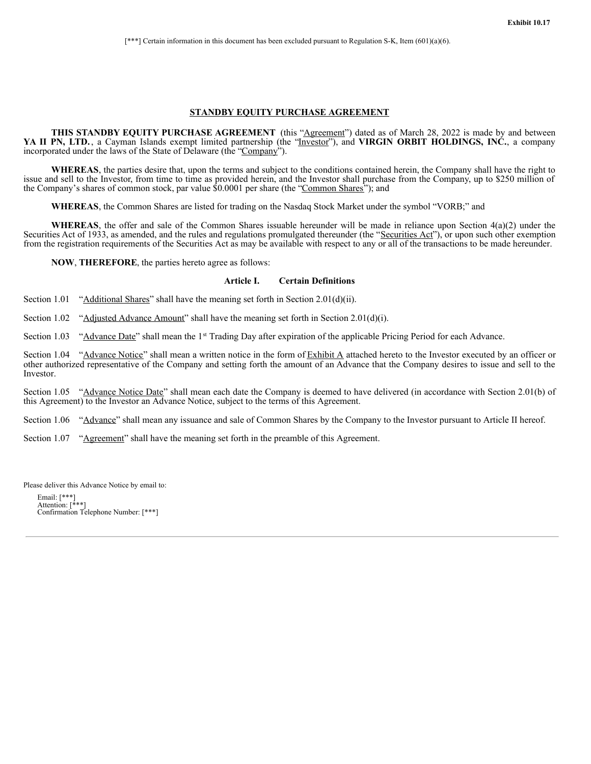[\*\*\*] Certain information in this document has been excluded pursuant to Regulation S-K, Item (601)(a)(6).

#### **STANDBY EQUITY PURCHASE AGREEMENT**

**THIS STANDBY EQUITY PURCHASE AGREEMENT** (this "Agreement") dated as of March 28, 2022 is made by and between **YA II PN, LTD.** , a Cayman Islands exempt limited partnership (the "Investor"), and **VIRGIN ORBIT HOLDINGS, INC.**, a company incorporated under the laws of the State of Delaware (the "Company").

**WHEREAS**, the parties desire that, upon the terms and subject to the conditions contained herein, the Company shall have the right to issue and sell to the Investor, from time to time as provided herein, and the Investor shall purchase from the Company, up to \$250 million of the Company's shares of common stock, par value \$0.0001 per share (the "Common Shares"); and

**WHEREAS**, the Common Shares are listed for trading on the Nasdaq Stock Market under the symbol "VORB;" and

**WHEREAS**, the offer and sale of the Common Shares issuable hereunder will be made in reliance upon Section 4(a)(2) under the Securities Act of 1933, as amended, and the rules and regulations promulgated thereunder (the "Securities Act"), or upon such other exemption from the registration requirements of the Securities Act as may be available with respect to any or all of the transactions to be made hereunder.

**NOW**, **THEREFORE**, the parties hereto agree as follows:

#### **Article I. Certain Definitions**

Section 1.01 "Additional Shares" shall have the meaning set forth in Section 2.01(d)(ii).

Section 1.02 "Adjusted Advance Amount" shall have the meaning set forth in Section 2.01(d)(i).

Section 1.03 "Advance Date" shall mean the 1<sup>st</sup> Trading Day after expiration of the applicable Pricing Period for each Advance.

Section 1.04 "Advance Notice" shall mean a written notice in the form of Exhibit A attached hereto to the Investor executed by an officer or other authorized representative of the Company and setting forth the amount of an Advance that the Company desires to issue and sell to the Investor.

Section 1.05 "Advance Notice Date" shall mean each date the Company is deemed to have delivered (in accordance with Section 2.01(b) of this Agreement) to the Investor an Advance Notice, subject to the terms of this Agreement.

Section 1.06 "Advance" shall mean any issuance and sale of Common Shares by the Company to the Investor pursuant to Article II hereof.

Section 1.07 "Agreement" shall have the meaning set forth in the preamble of this Agreement.

Please deliver this Advance Notice by email to:

Email: [\*\*\*] Attention: [\*\*\*] Confirmation Telephone Number: [\*\*\*]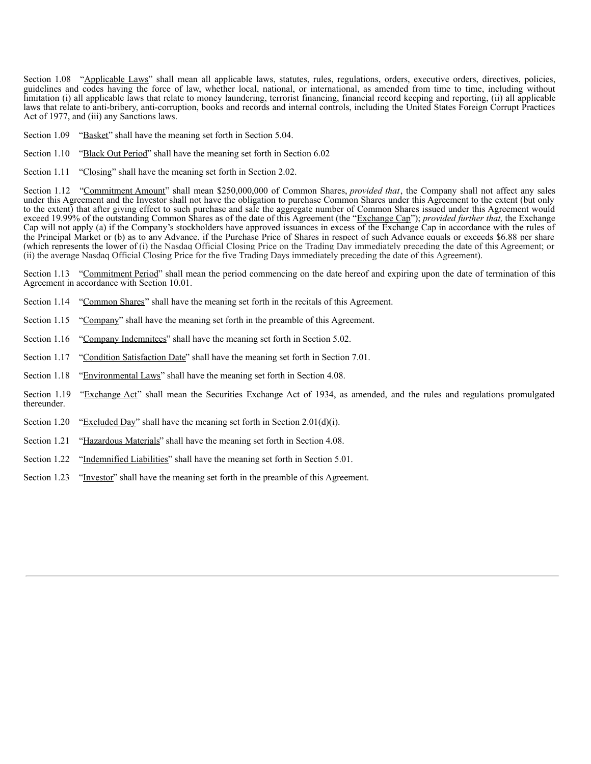Section 1.08 "Applicable Laws" shall mean all applicable laws, statutes, rules, regulations, orders, executive orders, directives, policies, guidelines and codes having the force of law, whether local, national, or international, as amended from time to time, including without limitation (i) all applicable laws that relate to money laundering, terrorist financing, financial record keeping and reporting, (ii) all applicable laws that relate to anti-bribery, anti-corruption, books and records and internal controls, including the United States Foreign Corrupt Practices Act of 1977, and (iii) any Sanctions laws.

- Section 1.09 "Basket" shall have the meaning set forth in Section 5.04.
- Section 1.10 "Black Out Period" shall have the meaning set forth in Section 6.02
- Section 1.11 "Closing" shall have the meaning set forth in Section 2.02.

Section 1.12 "Commitment Amount" shall mean \$250,000,000 of Common Shares, *provided that*, the Company shall not affect any sales under this Agreement and the Investor shall not have the obligation to purchase Common Shares under this Agreement to the extent (but only to the extent) that after giving effect to such purchase and sale the aggregate number of Common Shares issued under this Agreement would exceed 19.99% of the outstanding Common Shares as of the date of this Agreement (the "Exchange Cap"); *provided further that,* the Exchange Cap will not apply (a) if the Company's stockholders have approved issuances in excess of the Exchange Cap in accordance with the rules of the Principal Market or (b) as to any Advance, if the Purchase Price of Shares in respect of such Advance equals or exceeds \$6.88 per share (which represents the lower of (i) the Nasdaq Official Closing Price on the Trading Day immediately preceding the date of this Agreement; or (ii) the average Nasdaq Official Closing Price for the five Trading Days immediately preceding the date of this Agreement).

Section 1.13 "Commitment Period" shall mean the period commencing on the date hereof and expiring upon the date of termination of this Agreement in accordance with Section 10.01.

- Section 1.14 "Common Shares" shall have the meaning set forth in the recitals of this Agreement.
- Section 1.15 "Company" shall have the meaning set forth in the preamble of this Agreement.
- Section 1.16 "Company Indemnitees" shall have the meaning set forth in Section 5.02.
- Section 1.17 "Condition Satisfaction Date" shall have the meaning set forth in Section 7.01.
- Section 1.18 "Environmental Laws" shall have the meaning set forth in Section 4.08.
- Section 1.19 "Exchange Act" shall mean the Securities Exchange Act of 1934, as amended, and the rules and regulations promulgated thereunder.
- Section 1.20 "Excluded Day" shall have the meaning set forth in Section 2.01(d)(i).
- Section 1.21 "Hazardous Materials" shall have the meaning set forth in Section 4.08.
- Section 1.22 "Indemnified Liabilities" shall have the meaning set forth in Section 5.01.
- Section 1.23 "Investor" shall have the meaning set forth in the preamble of this Agreement.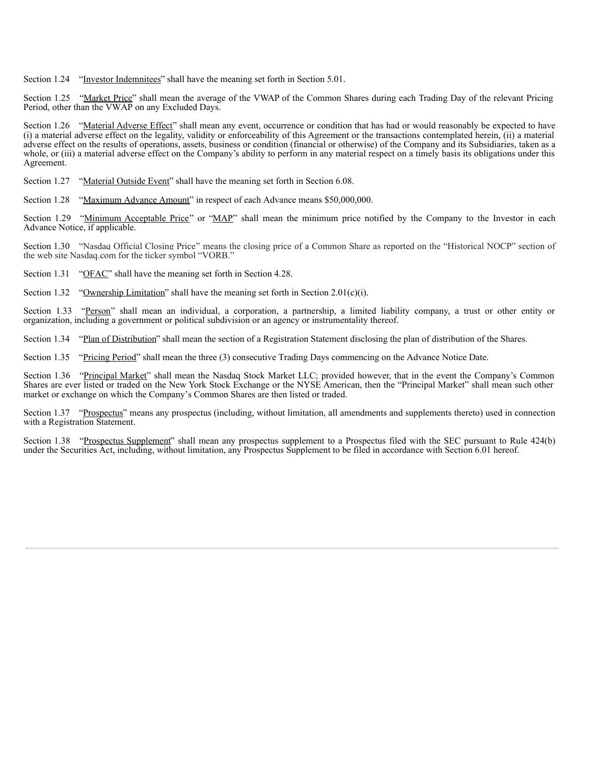Section 1.24 "Investor Indemnitees" shall have the meaning set forth in Section 5.01.

Section 1.25 "Market Price" shall mean the average of the VWAP of the Common Shares during each Trading Day of the relevant Pricing Period, other than the VWAP on any Excluded Days.

Section 1.26 "Material Adverse Effect" shall mean any event, occurrence or condition that has had or would reasonably be expected to have (i) a material adverse effect on the legality, validity or enforceability of this Agreement or the transactions contemplated herein, (ii) a material adverse effect on the results of operations, assets, business or condition (financial or otherwise) of the Company and its Subsidiaries, taken as a whole, or (iii) a material adverse effect on the Company's ability to perform in any material respect on a timely basis its obligations under this Agreement.

Section 1.27 "Material Outside Event" shall have the meaning set forth in Section 6.08.

Section 1.28 "Maximum Advance Amount" in respect of each Advance means \$50,000,000.

Section 1.29 "Minimum Acceptable Price" or "MAP" shall mean the minimum price notified by the Company to the Investor in each Advance Notice, if applicable.

Section 1.30 "Nasdaq Official Closing Price" means the closing price of a Common Share as reported on the "Historical NOCP" section of the web site Nasdaq.com for the ticker symbol "VORB."

Section 1.31 "OFAC" shall have the meaning set forth in Section 4.28.

Section 1.32 "Ownership Limitation" shall have the meaning set forth in Section 2.01(c)(i).

Section 1.33 "Person" shall mean an individual, a corporation, a partnership, a limited liability company, a trust or other entity or organization, including a government or political subdivision or an agency or instrumentality thereof.

Section 1.34 "Plan of Distribution" shall mean the section of a Registration Statement disclosing the plan of distribution of the Shares.

Section 1.35 "Pricing Period" shall mean the three (3) consecutive Trading Days commencing on the Advance Notice Date.

Section 1.36 "Principal Market" shall mean the Nasdaq Stock Market LLC; provided however, that in the event the Company's Common Shares are ever listed or traded on the New York Stock Exchange or the NYSE American, then the "Principal Market" shall mean such other market or exchange on which the Company's Common Shares are then listed or traded.

Section 1.37 "Prospectus" means any prospectus (including, without limitation, all amendments and supplements thereto) used in connection with a Registration Statement.

Section 1.38 "Prospectus Supplement" shall mean any prospectus supplement to a Prospectus filed with the SEC pursuant to Rule 424(b) under the Securities Act, including, without limitation, any Prospectus Supplement to be filed in accordance with Section 6.01 hereof.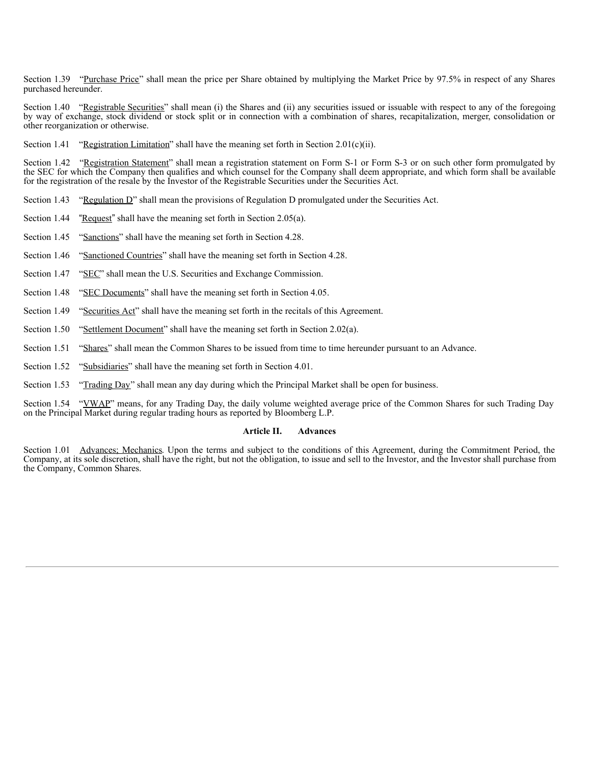Section 1.39 "Purchase Price" shall mean the price per Share obtained by multiplying the Market Price by 97.5% in respect of any Shares purchased hereunder.

Section 1.40 "Registrable Securities" shall mean (i) the Shares and (ii) any securities issued or issuable with respect to any of the foregoing by way of exchange, stock dividend or stock split or in connection with a combination of shares, recapitalization, merger, consolidation or other reorganization or otherwise.

Section 1.41 "Registration Limitation" shall have the meaning set forth in Section 2.01(c)(ii).

Section 1.42 "Registration Statement" shall mean a registration statement on Form S-1 or Form S-3 or on such other form promulgated by the SEC for which the Company then qualifies and which counsel for the Company shall deem appropriate, and which form shall be available for the registration of the resale by the Investor of the Registrable Securities under the Securities Act.

Section 1.43 "Regulation D" shall mean the provisions of Regulation D promulgated under the Securities Act.

Section 1.44 "Request" shall have the meaning set forth in Section 2.05(a).

- Section 1.45 "Sanctions" shall have the meaning set forth in Section 4.28.
- Section 1.46 "Sanctioned Countries" shall have the meaning set forth in Section 4.28.
- Section 1.47 "SEC" shall mean the U.S. Securities and Exchange Commission.
- Section 1.48 "SEC Documents" shall have the meaning set forth in Section 4.05.
- Section 1.49 "Securities Act" shall have the meaning set forth in the recitals of this Agreement.
- Section 1.50 "Settlement Document" shall have the meaning set forth in Section 2.02(a).
- Section 1.51 "Shares" shall mean the Common Shares to be issued from time to time hereunder pursuant to an Advance.
- Section 1.52 "Subsidiaries" shall have the meaning set forth in Section 4.01.
- Section 1.53 "Trading Day" shall mean any day during which the Principal Market shall be open for business.

Section 1.54 "VWAP" means, for any Trading Day, the daily volume weighted average price of the Common Shares for such Trading Day on the Principal Market during regular trading hours as reported by Bloomberg L.P.

#### **Article II. Advances**

Section 1.01 Advances; Mechanics. Upon the terms and subject to the conditions of this Agreement, during the Commitment Period, the Company, at its sole discretion, shall have the right, but not the obligation, to issue and sell to the Investor, and the Investor shall purchase from the Company, Common Shares.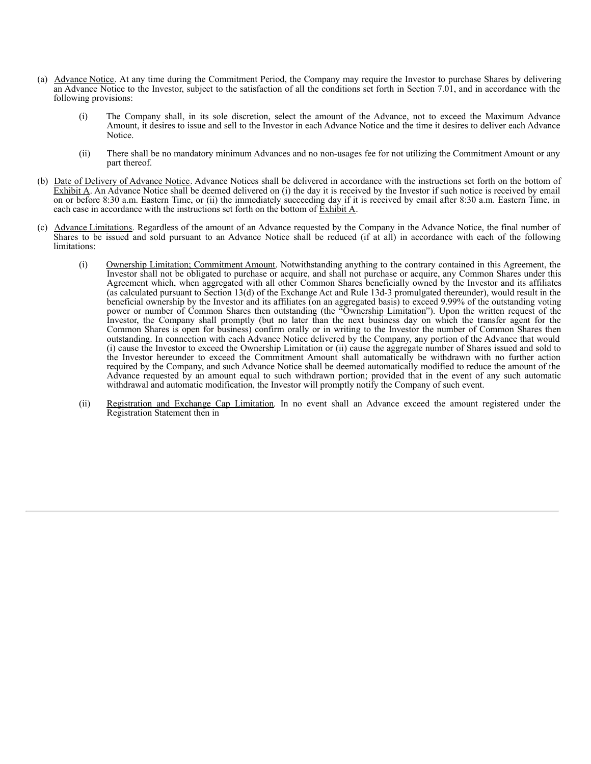- (a) Advance Notice. At any time during the Commitment Period, the Company may require the Investor to purchase Shares by delivering an Advance Notice to the Investor, subject to the satisfaction of all the conditions set forth in Section 7.01, and in accordance with the following provisions:
	- (i) The Company shall, in its sole discretion, select the amount of the Advance, not to exceed the Maximum Advance Amount, it desires to issue and sell to the Investor in each Advance Notice and the time it desires to deliver each Advance Notice.
	- (ii) There shall be no mandatory minimum Advances and no non-usages fee for not utilizing the Commitment Amount or any part thereof.
- (b) Date of Delivery of Advance Notice. Advance Notices shall be delivered in accordance with the instructions set forth on the bottom of Exhibit A. An Advance Notice shall be deemed delivered on (i) the day it is received by the Investor if such notice is received by email on or before 8:30 a.m. Eastern Time, or (ii) the immediately succeeding day if it is received by email after 8:30 a.m. Eastern Time, in each case in accordance with the instructions set forth on the bottom of Exhibit A.
- (c) Advance Limitations. Regardless of the amount of an Advance requested by the Company in the Advance Notice, the final number of Shares to be issued and sold pursuant to an Advance Notice shall be reduced (if at all) in accordance with each of the following limitations:
	- (i) Ownership Limitation; Commitment Amount. Notwithstanding anything to the contrary contained in this Agreement, the Investor shall not be obligated to purchase or acquire, and shall not purchase or acquire, any Common Shares under this Agreement which, when aggregated with all other Common Shares beneficially owned by the Investor and its affiliates (as calculated pursuant to Section 13(d) of the Exchange Act and Rule 13d-3 promulgated thereunder), would result in the beneficial ownership by the Investor and its affiliates (on an aggregated basis) to exceed 9.99% of the outstanding voting power or number of Common Shares then outstanding (the "Ownership Limitation"). Upon the written request of the Investor, the Company shall promptly (but no later than the next business day on which the transfer agent for the Common Shares is open for business) confirm orally or in writing to the Investor the number of Common Shares then outstanding. In connection with each Advance Notice delivered by the Company, any portion of the Advance that would (i) cause the Investor to exceed the Ownership Limitation or (ii) cause the aggregate number of Shares issued and sold to the Investor hereunder to exceed the Commitment Amount shall automatically be withdrawn with no further action required by the Company, and such Advance Notice shall be deemed automatically modified to reduce the amount of the Advance requested by an amount equal to such withdrawn portion; provided that in the event of any such automatic withdrawal and automatic modification, the Investor will promptly notify the Company of such event.
	- (ii) Registration and Exchange Cap Limitation. In no event shall an Advance exceed the amount registered under the Registration Statement then in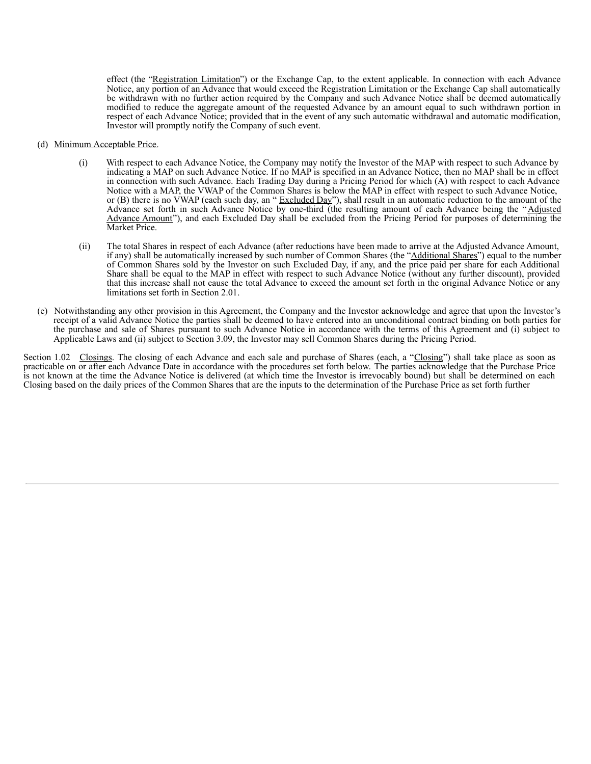effect (the "Registration Limitation") or the Exchange Cap, to the extent applicable. In connection with each Advance Notice, any portion of an Advance that would exceed the Registration Limitation or the Exchange Cap shall automatically be withdrawn with no further action required by the Company and such Advance Notice shall be deemed automatically modified to reduce the aggregate amount of the requested Advance by an amount equal to such withdrawn portion in respect of each Advance Notice; provided that in the event of any such automatic withdrawal and automatic modification, Investor will promptly notify the Company of such event.

- (d) Minimum Acceptable Price.
	- (i) With respect to each Advance Notice, the Company may notify the Investor of the MAP with respect to such Advance by indicating a MAP on such Advance Notice. If no MAP is specified in an Advance Notice, then no MAP shall be in effect in connection with such Advance. Each Trading Day during a Pricing Period for which (A) with respect to each Advance Notice with a MAP, the VWAP of the Common Shares is below the MAP in effect with respect to such Advance Notice, or (B) there is no VWAP (each such day, an "Excluded Day"), shall result in an automatic reduction to the amount of the Advance set forth in such Advance Notice by one-third (the resulting amount of each Advance being the "Adjusted Advance Amount"), and each Excluded Day shall be excluded from the Pricing Period for purposes of determining the Market Price.
	- (ii) The total Shares in respect of each Advance (after reductions have been made to arrive at the Adjusted Advance Amount, if any) shall be automatically increased by such number of Common Shares (the "Additional Shares") equal to the number of Common Shares sold by the Investor on such Excluded Day, if any, and the price paid per share for each Additional Share shall be equal to the MAP in effect with respect to such Advance Notice (without any further discount), provided that this increase shall not cause the total Advance to exceed the amount set forth in the original Advance Notice or any limitations set forth in Section 2.01.
- (e) Notwithstanding any other provision in this Agreement, the Company and the Investor acknowledge and agree that upon the Investor's receipt of a valid Advance Notice the parties shall be deemed to have entered into an unconditional contract binding on both parties for the purchase and sale of Shares pursuant to such Advance Notice in accordance with the terms of this Agreement and (i) subject to Applicable Laws and (ii) subject to Section 3.09, the Investor may sell Common Shares during the Pricing Period.

Section 1.02 Closings. The closing of each Advance and each sale and purchase of Shares (each, a "Closing") shall take place as soon as practicable on or after each Advance Date in accordance with the procedures set forth below. The parties acknowledge that the Purchase Price is not known at the time the Advance Notice is delivered (at which time the Investor is irrevocably bound) but shall be determined on each Closing based on the daily prices of the Common Shares that are the inputs to the determination of the Purchase Price as set forth further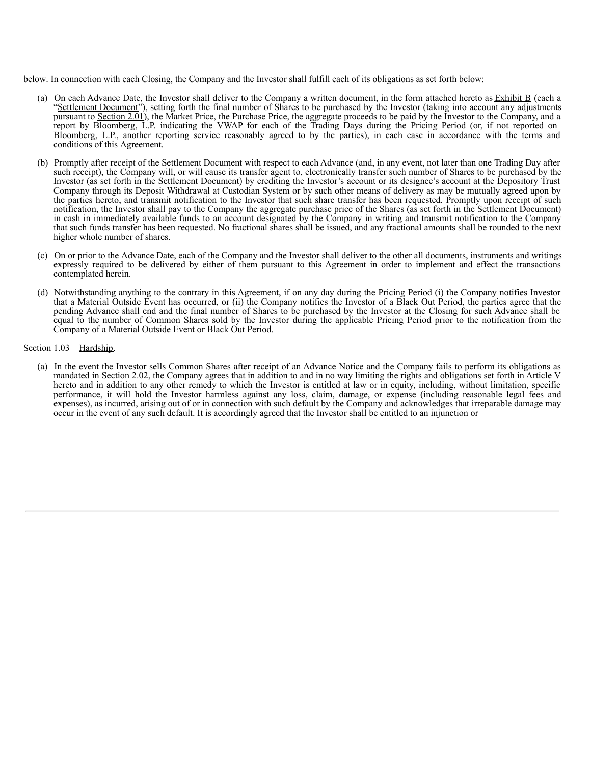below. In connection with each Closing, the Company and the Investor shall fulfill each of its obligations as set forth below:

- (a) On each Advance Date, the Investor shall deliver to the Company a written document, in the form attached hereto as  $\overline{\text{Exhibit B}}$  (each a "Settlement Document"), setting forth the final number of Shares to be purchased by the Investor (taking into account any adjustments pursuant to Section 2.01), the Market Price, the Purchase Price, the aggregate proceeds to be paid by the Investor to the Company, and a report by Bloomberg, L.P. indicating the VWAP for each of the Trading Days during the Pricing Period (or, if not reported on Bloomberg, L.P., another reporting service reasonably agreed to by the parties), in each case in accordance with the terms and conditions of this Agreement.
- (b) Promptly after receipt of the Settlement Document with respect to each Advance (and, in any event, not later than one Trading Day after such receipt), the Company will, or will cause its transfer agent to, electronically transfer such number of Shares to be purchased by the Investor (as set forth in the Settlement Document) by crediting the Investor's account or its designee's account at the Depository Trust Company through its Deposit Withdrawal at Custodian System or by such other means of delivery as may be mutually agreed upon by the parties hereto, and transmit notification to the Investor that such share transfer has been requested. Promptly upon receipt of such notification, the Investor shall pay to the Company the aggregate purchase price of the Shares (as set forth in the Settlement Document) in cash in immediately available funds to an account designated by the Company in writing and transmit notification to the Company that such funds transfer has been requested. No fractional shares shall be issued, and any fractional amounts shall be rounded to the next higher whole number of shares.
- (c) On or prior to the Advance Date, each of the Company and the Investor shall deliver to the other all documents, instruments and writings expressly required to be delivered by either of them pursuant to this Agreement in order to implement and effect the transactions contemplated herein.
- (d) Notwithstanding anything to the contrary in this Agreement, if on any day during the Pricing Period (i) the Company notifies Investor that a Material Outside Event has occurred, or (ii) the Company notifies the Investor of a Black Out Period, the parties agree that the pending Advance shall end and the final number of Shares to be purchased by the Investor at the Closing for such Advance shall be equal to the number of Common Shares sold by the Investor during the applicable Pricing Period prior to the notification from the Company of a Material Outside Event or Black Out Period.

#### Section 1.03 Hardship.

(a) In the event the Investor sells Common Shares after receipt of an Advance Notice and the Company fails to perform its obligations as mandated in Section 2.02, the Company agrees that in addition to and in no way limiting the rights and obligations set forth in Article V hereto and in addition to any other remedy to which the Investor is entitled at law or in equity, including, without limitation, specific performance, it will hold the Investor harmless against any loss, claim, damage, or expense (including reasonable legal fees and expenses), as incurred, arising out of or in connection with such default by the Company and acknowledges that irreparable damage may occur in the event of any such default. It is accordingly agreed that the Investor shall be entitled to an injunction or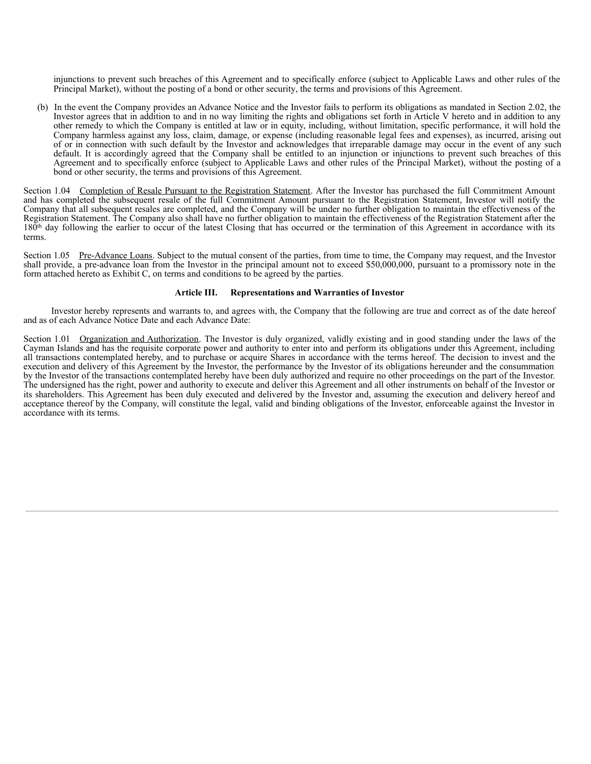injunctions to prevent such breaches of this Agreement and to specifically enforce (subject to Applicable Laws and other rules of the Principal Market), without the posting of a bond or other security, the terms and provisions of this Agreement.

(b) In the event the Company provides an Advance Notice and the Investor fails to perform its obligations as mandated in Section 2.02, the Investor agrees that in addition to and in no way limiting the rights and obligations set forth in Article V hereto and in addition to any other remedy to which the Company is entitled at law or in equity, including, without limitation, specific performance, it will hold the Company harmless against any loss, claim, damage, or expense (including reasonable legal fees and expenses), as incurred, arising out of or in connection with such default by the Investor and acknowledges that irreparable damage may occur in the event of any such default. It is accordingly agreed that the Company shall be entitled to an injunction or injunctions to prevent such breaches of this Agreement and to specifically enforce (subject to Applicable Laws and other rules of the Principal Market), without the posting of a bond or other security, the terms and provisions of this Agreement.

Section 1.04 Completion of Resale Pursuant to the Registration Statement. After the Investor has purchased the full Commitment Amount and has completed the subsequent resale of the full Commitment Amount pursuant to the Registration Statement, Investor will notify the Company that all subsequent resales are completed, and the Company will be under no further obligation to maintain the effectiveness of the Registration Statement. The Company also shall have no further obligation to maintain the effectiveness of the Registration Statement after the  $180<sup>th</sup>$  day following the earlier to occur of the latest Closing that has occurred or the termination of this Agreement in accordance with its terms.

Section 1.05 Pre-Advance Loans. Subject to the mutual consent of the parties, from time to time, the Company may request, and the Investor shall provide, a pre-advance loan from the Investor in the principal amount not to exceed \$50,000,000, pursuant to a promissory note in the form attached hereto as Exhibit C, on terms and conditions to be agreed by the parties.

#### **Article III. Representations and Warranties of Investor**

Investor hereby represents and warrants to, and agrees with, the Company that the following are true and correct as of the date hereof and as of each Advance Notice Date and each Advance Date:

Section 1.01 Organization and Authorization. The Investor is duly organized, validly existing and in good standing under the laws of the Cayman Islands and has the requisite corporate power and authority to enter into and perform its obligations under this Agreement, including all transactions contemplated hereby, and to purchase or acquire Shares in accordance with the terms hereof. The decision to invest and the execution and delivery of this Agreement by the Investor, the performance by the Investor of its obligations hereunder and the consummation by the Investor of the transactions contemplated hereby have been duly authorized and require no other proceedings on the part of the Investor. The undersigned has the right, power and authority to execute and deliver this Agreement and all other instruments on behalf of the Investor or its shareholders. This Agreement has been duly executed and delivered by the Investor and, assuming the execution and delivery hereof and acceptance thereof by the Company, will constitute the legal, valid and binding obligations of the Investor, enforceable against the Investor in accordance with its terms.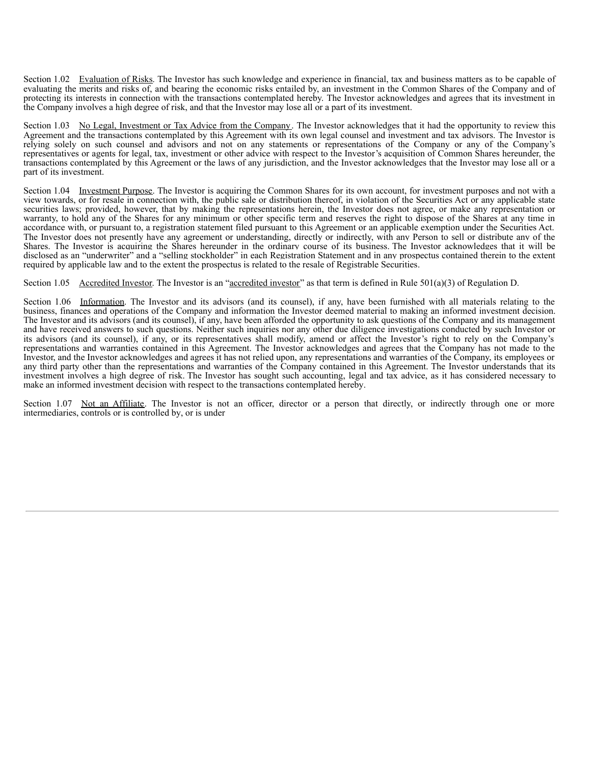Section 1.02 Evaluation of Risks. The Investor has such knowledge and experience in financial, tax and business matters as to be capable of evaluating the merits and risks of, and bearing the economic risks entailed by, an investment in the Common Shares of the Company and of protecting its interests in connection with the transactions contemplated hereby. The Investor acknowledges and agrees that its investment in the Company involves a high degree of risk, and that the Investor may lose all or a part of its investment.

Section 1.03 No Legal, Investment or Tax Advice from the Company. The Investor acknowledges that it had the opportunity to review this Agreement and the transactions contemplated by this Agreement with its own legal counsel and investment and tax advisors. The Investor is relying solely on such counsel and advisors and not on any statements or representations of the Company or any of the Company's representatives or agents for legal, tax, investment or other advice with respect to the Investor's acquisition of Common Shares hereunder, the transactions contemplated by this Agreement or the laws of any jurisdiction, and the Investor acknowledges that the Investor may lose all or a part of its investment.

Section 1.04 Investment Purpose. The Investor is acquiring the Common Shares for its own account, for investment purposes and not with a view towards, or for resale in connection with, the public sale or distribution thereof, in violation of the Securities Act or any applicable state securities laws; provided, however, that by making the representations herein, the Investor does not agree, or make any representation or warranty, to hold any of the Shares for any minimum or other specific term and reserves the right to dispose of the Shares at any time in accordance with, or pursuant to, a registration statement filed pursuant to this Agreement or an applicable exemption under the Securities Act. The Investor does not presently have any agreement or understanding, directly or indirectly, with any Person to sell or distribute any of the Shares. The Investor is acquiring the Shares hereunder in the ordinary course of its business. The Investor acknowledges that it will be disclosed as an "underwriter" and a "selling stockholder" in each Registration Statement and in any prospectus contained therein to the extent required by applicable law and to the extent the prospectus is related to the resale of Registrable Securities.

Section 1.05 Accredited Investor. The Investor is an "accredited investor" as that term is defined in Rule  $501(a)(3)$  of Regulation D.

Section 1.06 Information. The Investor and its advisors (and its counsel), if any, have been furnished with all materials relating to the business, finances and operations of the Company and information the Investor deemed material to making an informed investment decision. The Investor and its advisors (and its counsel), if any, have been afforded the opportunity to ask questions of the Company and its management and have received answers to such questions. Neither such inquiries nor any other due diligence investigations conducted by such Investor or its advisors (and its counsel), if any, or its representatives shall modify, amend or affect the Investor's right to rely on the Company's representations and warranties contained in this Agreement. The Investor acknowledges and agrees that the Company has not made to the Investor, and the Investor acknowledges and agrees it has not relied upon, any representations and warranties of the Company, its employees or any third party other than the representations and warranties of the Company contained in this Agreement. The Investor understands that its investment involves a high degree of risk. The Investor has sought such accounting, legal and tax advice, as it has considered necessary to make an informed investment decision with respect to the transactions contemplated hereby.

Section 1.07 Not an Affiliate. The Investor is not an officer, director or a person that directly, or indirectly through one or more intermediaries, controls or is controlled by, or is under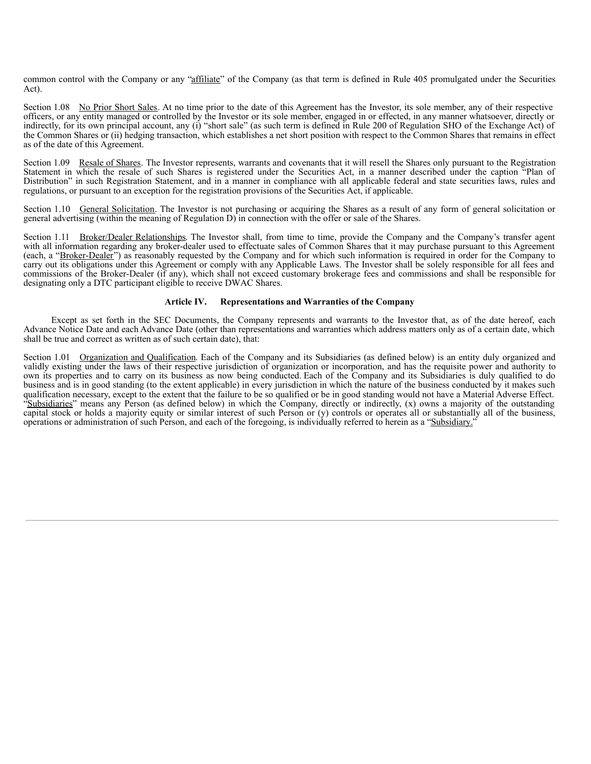common control with the Company or any "affiliate" of the Company (as that term is defined in Rule 405 promulgated under the Securities Act).

Section 1.08 No Prior Short Sales. At no time prior to the date of this Agreement has the Investor, its sole member, any of their respective officers, or any entity managed or controlled by the Investor or its sole member, engaged in or effected, in any manner whatsoever, directly or indirectly, for its own principal account, any (i) "short sale" (as such term is defined in Rule 200 of Regulation SHO of the Exchange Act) of the Common Shares or (ii) hedging transaction, which establishes a net short position with respect to the Common Shares that remains in effect as of the date of this Agreement.

Section 1.09 Resale of Shares. The Investor represents, warrants and covenants that it will resell the Shares only pursuant to the Registration Statement in which the resale of such Shares is registered under the Securities Act, in a manner described under the caption "Plan of Distribution" in such Registration Statement, and in a manner in compliance with all applicable federal and state securities laws, rules and regulations, or pursuant to an exception for the registration provisions of the Securities Act, if applicable.

Section 1.10 General Solicitation. The Investor is not purchasing or acquiring the Shares as a result of any form of general solicitation or general advertising (within the meaning of Regulation D) in connection with the offer or sale of the Shares.

Section 1.11 Broker/Dealer Relationships. The Investor shall, from time to time, provide the Company and the Company's transfer agent with all information regarding any broker-dealer used to effectuate sales of Common Shares that it may purchase pursuant to this Agreement (each, a "Broker-Dealer") as reasonably requested by the Company and for which such information is required in order for the Company to carry out its obligations under this Agreement or comply with any Applicable Laws. The Investor shall be solely responsible for all fees and commissions of the Broker-Dealer (if any), which shall not exceed customary brokerage fees and commissions and shall be responsible for designating only a DTC participant eligible to receive DWAC Shares.

## **Article IV. Representations and Warranties of the Company**

Except as set forth in the SEC Documents, the Company represents and warrants to the Investor that, as of the date hereof, each Advance Notice Date and each Advance Date (other than representations and warranties which address matters only as of a certain date, which shall be true and correct as written as of such certain date), that:

Section 1.01 Organization and Qualification. Each of the Company and its Subsidiaries (as defined below) is an entity duly organized and validly existing under the laws of their respective jurisdiction of organization or incorporation, and has the requisite power and authority to own its properties and to carry on its business as now being conducted. Each of the Company and its Subsidiaries is duly qualified to do business and is in good standing (to the extent applicable) in every jurisdiction in which the nature of the business conducted by it makes such qualification necessary, except to the extent that the failure to be so qualified or be in good standing would not have a Material Adverse Effect. "Subsidiaries" means any Person (as defined below) in which the Company, directly or indirectly, (x) owns a majority of the outstanding capital stock or holds a majority equity or similar interest of such Person or (y) controls or operates all or substantially all of the business, operations or administration of such Person, and each of the foregoing, is individually referred to herein as a "Subsidiary."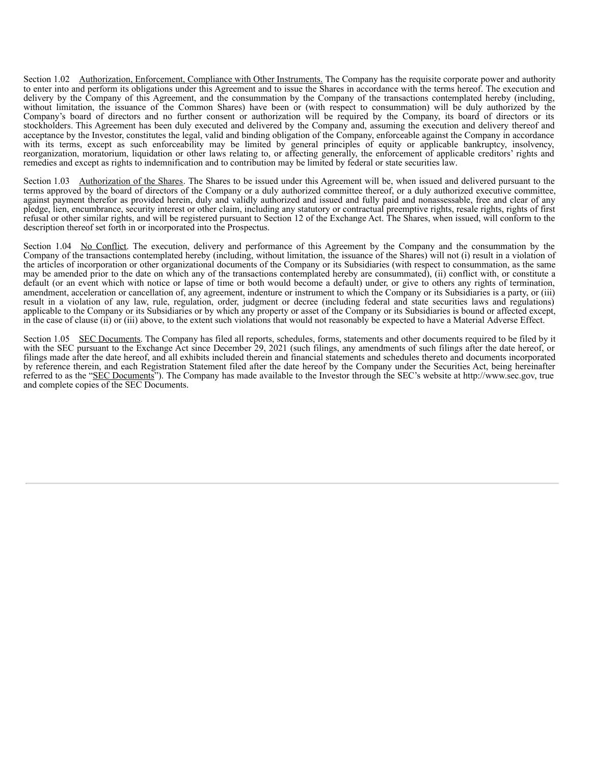Section 1.02 Authorization, Enforcement, Compliance with Other Instruments. The Company has the requisite corporate power and authority to enter into and perform its obligations under this Agreement and to issue the Shares in accordance with the terms hereof. The execution and delivery by the Company of this Agreement, and the consummation by the Company of the transactions contemplated hereby (including, without limitation, the issuance of the Common Shares) have been or (with respect to consummation) will be duly authorized by the Company's board of directors and no further consent or authorization will be required by the Company, its board of directors or its stockholders. This Agreement has been duly executed and delivered by the Company and, assuming the execution and delivery thereof and acceptance by the Investor, constitutes the legal, valid and binding obligation of the Company, enforceable against the Company in accordance with its terms, except as such enforceability may be limited by general principles of equity or applicable bankruptcy, insolvency, reorganization, moratorium, liquidation or other laws relating to, or affecting generally, the enforcement of applicable creditors' rights and remedies and except as rights to indemnification and to contribution may be limited by federal or state securities law.

Section 1.03 Authorization of the Shares. The Shares to be issued under this Agreement will be, when issued and delivered pursuant to the terms approved by the board of directors of the Company or a duly authorized committee thereof, or a duly authorized executive committee, against payment therefor as provided herein, duly and validly authorized and issued and fully paid and nonassessable, free and clear of any pledge, lien, encumbrance, security interest or other claim, including any statutory or contractual preemptive rights, resale rights, rights of first refusal or other similar rights, and will be registered pursuant to Section 12 of the Exchange Act. The Shares, when issued, will conform to the description thereof set forth in or incorporated into the Prospectus.

Section 1.04 No Conflict. The execution, delivery and performance of this Agreement by the Company and the consummation by the Company of the transactions contemplated hereby (including, without limitation, the issuance of the Shares) will not (i) result in a violation of the articles of incorporation or other organizational documents of the Company or its Subsidiaries (with respect to consummation, as the same may be amended prior to the date on which any of the transactions contemplated hereby are consummated), (ii) conflict with, or constitute a default (or an event which with notice or lapse of time or both would become a default) under, or give to others any rights of termination, amendment, acceleration or cancellation of, any agreement, indenture or instrument to which the Company or its Subsidiaries is a party, or (iii) result in a violation of any law, rule, regulation, order, judgment or decree (including federal and state securities laws and regulations) applicable to the Company or its Subsidiaries or by which any property or asset of the Company or its Subsidiaries is bound or affected except, in the case of clause (ii) or (iii) above, to the extent such violations that would not reasonably be expected to have a Material Adverse Effect.

Section 1.05 SEC Documents. The Company has filed all reports, schedules, forms, statements and other documents required to be filed by it with the SEC pursuant to the Exchange Act since December 29, 2021 (such filings, any amendments of such filings after the date hereof, or filings made after the date hereof, and all exhibits included therein and financial statements and schedules thereto and documents incorporated by reference therein, and each Registration Statement filed after the date hereof by the Company under the Securities Act, being hereinafter referred to as the "SEC Documents"). The Company has made available to the Investor through the SEC's website at http://www.sec.gov, true and complete copies of the SEC Documents.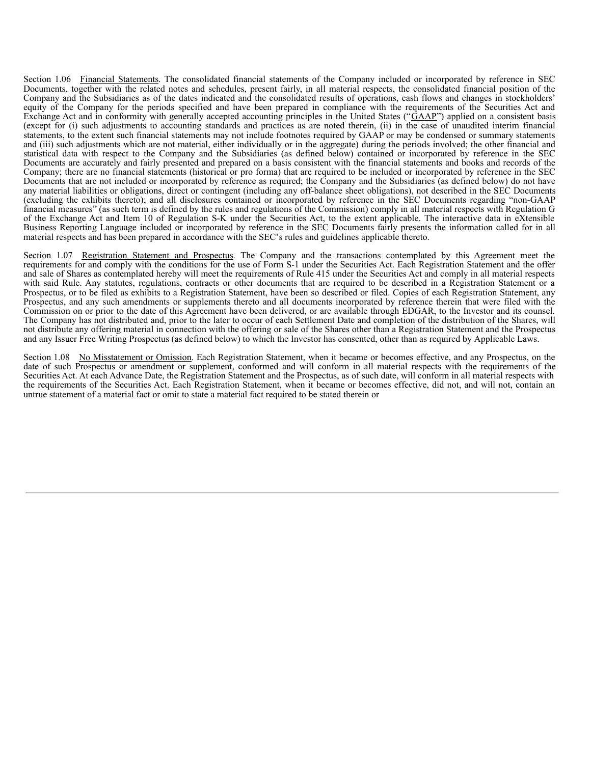Section 1.06 Financial Statements. The consolidated financial statements of the Company included or incorporated by reference in SEC Documents, together with the related notes and schedules, present fairly, in all material respects, the consolidated financial position of the Company and the Subsidiaries as of the dates indicated and the consolidated results of operations, cash flows and changes in stockholders' equity of the Company for the periods specified and have been prepared in compliance with the requirements of the Securities Act and equity of the Company for the periods specified and have been prepared in compliance with the explanation of the Company control and Exchange Act and in conformity with generally accepted accounting principles in the Unite (except for (i) such adjustments to accounting standards and practices as are noted therein, (ii) in the case of unaudited interim financial statements, to the extent such financial statements may not include footnotes required by GAAP or may be condensed or summary statements and (iii) such adjustments which are not material, either individually or in the aggregate) during the periods involved; the other financial and statistical data with respect to the Company and the Subsidiaries (as defined below) contained or incorporated by reference in the SEC Documents are accurately and fairly presented and prepared on a basis consistent with the financial statements and books and records of the Company; there are no financial statements (historical or pro forma) that are required to be included or incorporated by reference in the SEC Documents that are not included or incorporated by reference as required; the Company and the Subsidiaries (as defined below) do not have any material liabilities or obligations, direct or contingent (including any off-balance sheet obligations), not described in the SEC Documents (excluding the exhibits thereto); and all disclosures contained or incorporated by reference in the SEC Documents regarding "non-GAAP financial measures" (as such term is defined by the rules and regulations of the Commission) comply in all material respects with Regulation G of the Exchange Act and Item 10 of Regulation S-K under the Securities Act, to the extent applicable. The interactive data in eXtensible Business Reporting Language included or incorporated by reference in the SEC Documents fairly presents the information called for in all material respects and has been prepared in accordance with the SEC's rules and guidelines applicable thereto.

Section 1.07 Registration Statement and Prospectus. The Company and the transactions contemplated by this Agreement meet the requirements for and comply with the conditions for the use of Form S-1 under the Securities Act. Each Registration Statement and the offer and sale of Shares as contemplated hereby will meet the requirements of Rule 415 under the Securities Act and comply in all material respects with said Rule. Any statutes, regulations, contracts or other documents that are required to be described in a Registration Statement or a Prospectus, or to be filed as exhibits to a Registration Statement, have been so described or filed. Copies of each Registration Statement, any Prospectus, and any such amendments or supplements thereto and all documents incorporated by reference therein that were filed with the Commission on or prior to the date of this Agreement have been delivered, or are available through EDGAR, to the Investor and its counsel. The Company has not distributed and, prior to the later to occur of each Settlement Date and completion of the distribution of the Shares, will not distribute any offering material in connection with the offering or sale of the Shares other than a Registration Statement and the Prospectus and any Issuer Free Writing Prospectus (as defined below) to which the Investor has consented, other than as required by Applicable Laws.

Section 1.08 No Misstatement or Omission. Each Registration Statement, when it became or becomes effective, and any Prospectus, on the date of such Prospectus or amendment or supplement, conformed and will conform in all material respects with the requirements of the Securities Act. At each Advance Date, the Registration Statement and the Prospectus, as of such date, will conform in all material respects with the requirements of the Securities Act. Each Registration Statement, when it became or becomes effective, did not, and will not, contain an untrue statement of a material fact or omit to state a material fact required to be stated therein or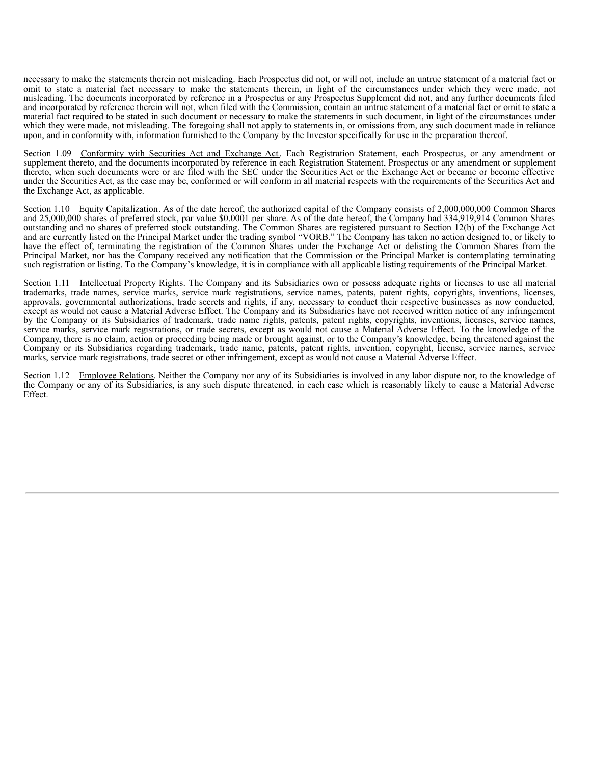necessary to make the statements therein not misleading. Each Prospectus did not, or will not, include an untrue statement of a material fact or omit to state a material fact necessary to make the statements therein, in light of the circumstances under which they were made, not misleading. The documents incorporated by reference in a Prospectus or any Prospectus Supplement did not, and any further documents filed and incorporated by reference therein will not, when filed with the Commission, contain an untrue statement of a material fact or omit to state a material fact required to be stated in such document or necessary to make the statements in such document, in light of the circumstances under which they were made, not misleading. The foregoing shall not apply to statements in, or omissions from, any such document made in reliance upon, and in conformity with, information furnished to the Company by the Investor specifically for use in the preparation thereof.

Section 1.09 Conformity with Securities Act and Exchange Act. Each Registration Statement, each Prospectus, or any amendment or supplement thereto, and the documents incorporated by reference in each Registration Statement, Prospectus or any amendment or supplement thereto, when such documents were or are filed with the SEC under the Securities Act or the Exchange Act or became or become effective under the Securities Act, as the case may be, conformed or will conform in all material respects with the requirements of the Securities Act and the Exchange Act, as applicable.

Section 1.10 Equity Capitalization. As of the date hereof, the authorized capital of the Company consists of 2,000,000,000 Common Shares and 25,000,000 shares of preferred stock, par value \$0.0001 per share. As of the date hereof, the Company had 334,919,914 Common Shares outstanding and no shares of preferred stock outstanding. The Common Shares are registered pursuant to Section 12(b) of the Exchange Act and are currently listed on the Principal Market under the trading symbol "VORB." The Company has taken no action designed to, or likely to have the effect of, terminating the registration of the Common Shares under the Exchange Act or delisting the Common Shares from the Principal Market, nor has the Company received any notification that the Commission or the Principal Market is contemplating terminating such registration or listing. To the Company's knowledge, it is in compliance with all applicable listing requirements of the Principal Market.

Section 1.11 Intellectual Property Rights. The Company and its Subsidiaries own or possess adequate rights or licenses to use all material trademarks, trade names, service marks, service mark registrations, service names, patents, patent rights, copyrights, inventions, licenses, approvals, governmental authorizations, trade secrets and rights, if any, necessary to conduct their respective businesses as now conducted, except as would not cause a Material Adverse Effect. The Company and its Subsidiaries have not received written notice of any infringement by the Company or its Subsidiaries of trademark, trade name rights, patents, patent rights, copyrights, inventions, licenses, service names, service marks, service mark registrations, or trade secrets, except as would not cause a Material Adverse Effect. To the knowledge of the Company, there is no claim, action or proceeding being made or brought against, or to the Company's knowledge, being threatened against the Company or its Subsidiaries regarding trademark, trade name, patents, patent rights, invention, copyright, license, service names, service marks, service mark registrations, trade secret or other infringement, except as would not cause a Material Adverse Effect.

Section 1.12 Employee Relations. Neither the Company nor any of its Subsidiaries is involved in any labor dispute nor, to the knowledge of the Company or any of its Subsidiaries, is any such dispute threatened, in each case which is reasonably likely to cause a Material Adverse Effect.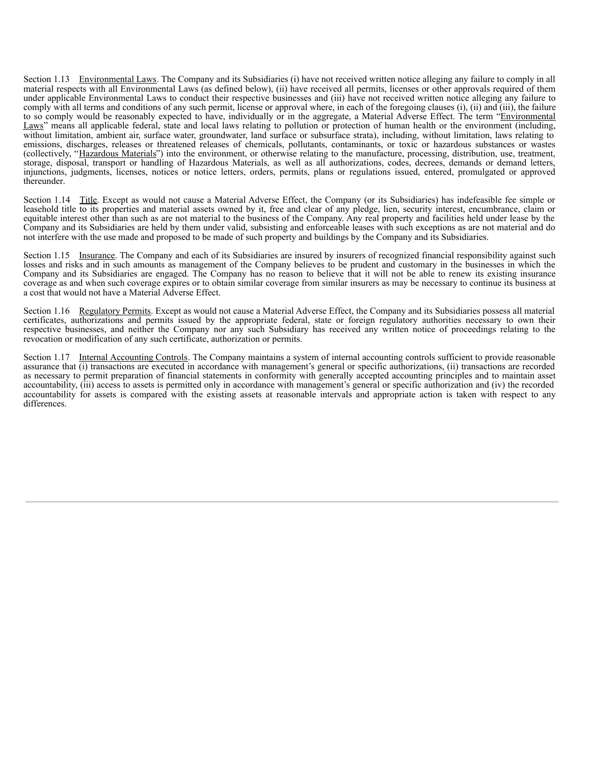Section 1.13 Environmental Laws. The Company and its Subsidiaries (i) have not received written notice alleging any failure to comply in all material respects with all Environmental Laws (as defined below), (ii) have received all permits, licenses or other approvals required of them under applicable Environmental Laws to conduct their respective businesses and (iii) have not received written notice alleging any failure to comply with all terms and conditions of any such permit, license or approval where, in each of the foregoing clauses (i), (ii) and (iii), the failure to so comply would be reasonably expected to have, individually or in the aggregate, a Material Adverse Effect. The term "Environmental" Laws" means all applicable federal, state and local laws relating to pollution or protection of human health or the environment (including, without limitation, ambient air, surface water, groundwater, land surface or subsurface strata), including, without limitation, laws relating to emissions, discharges, releases or threatened releases of chemicals, pollutants, contaminants, or toxic or hazardous substances or wastes (collectively, "Hazardous Materials") into the environment, or otherwise relating to the manufacture, processing, distribution, use, treatment, storage, disposal, transport or handling of Hazardous Materials, as well as all authorizations, codes, decrees, demands or demand letters, injunctions, judgments, licenses, notices or notice letters, orders, permits, plans or regulations issued, entered, promulgated or approved thereunder.

Section 1.14 Title. Except as would not cause a Material Adverse Effect, the Company (or its Subsidiaries) has indefeasible fee simple or leasehold title to its properties and material assets owned by it, free and clear of any pledge, lien, security interest, encumbrance, claim or equitable interest other than such as are not material to the business of the Company. Any real property and facilities held under lease by the Company and its Subsidiaries are held by them under valid, subsisting and enforceable leases with such exceptions as are not material and do not interfere with the use made and proposed to be made of such property and buildings by the Company and its Subsidiaries.

Section 1.15 Insurance. The Company and each of its Subsidiaries are insured by insurers of recognized financial responsibility against such losses and risks and in such amounts as management of the Company believes to be prudent and customary in the businesses in which the Company and its Subsidiaries are engaged. The Company has no reason to believe that it will not be able to renew its existing insurance coverage as and when such coverage expires or to obtain similar coverage from similar insurers as may be necessary to continue its business at a cost that would not have a Material Adverse Effect.

Section 1.16 Regulatory Permits. Except as would not cause a Material Adverse Effect, the Company and its Subsidiaries possess all material certificates, authorizations and permits issued by the appropriate federal, state or foreign regulatory authorities necessary to own their respective businesses, and neither the Company nor any such Subsidiary has received any written notice of proceedings relating to the revocation or modification of any such certificate, authorization or permits.

Section 1.17 Internal Accounting Controls. The Company maintains a system of internal accounting controls sufficient to provide reasonable assurance that (i) transactions are executed in accordance with management's general or specific authorizations, (ii) transactions are recorded as necessary to permit preparation of financial statements in conformity with generally accepted accounting principles and to maintain asset accountability, (iii) access to assets is permitted only in accordance with management's general or specific authorization and (iv) the recorded accountability for assets is compared with the existing assets at reasonable intervals and appropriate action is taken with respect to any differences.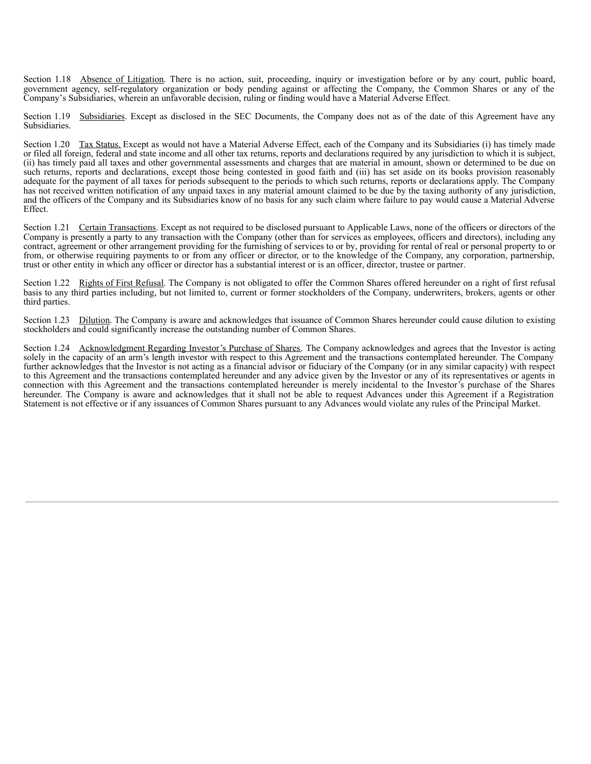<span id="page-21-0"></span>Section 1.18 Absence of Litigation. There is no action, suit, proceeding, inquiry or investigation before or by any court, public board, government agency, self-regulatory organization or body pending against or affecting the Company, the Common Shares or any of the Company's Subsidiaries, wherein an unfavorable decision, ruling or finding would have a Material Adverse Effect.

Section 1.19 Subsidiaries. Except as disclosed in the SEC Documents, the Company does not as of the date of this Agreement have any Subsidiaries.

Section 1.20 Tax Status. Except as would not have a Material Adverse Effect, each of the Company and its Subsidiaries (i) has timely made or filed all foreign, federal and state income and all other tax returns, reports and declarations required by any jurisdiction to which it is subject, (ii) has timely paid all taxes and other governmental assessments and charges that are material in amount, shown or determined to be due on such returns, reports and declarations, except those being contested in good faith and (iii) has set aside on its books provision reasonably adequate for the payment of all taxes for periods subsequent to the periods to which such returns, reports or declarations apply. The Company has not received written notification of any unpaid taxes in any material amount claimed to be due by the taxing authority of any jurisdiction, and the officers of the Company and its Subsidiaries know of no basis for any such claim where failure to pay would cause a Material Adverse Effect.

Section 1.21 Certain Transactions. Except as not required to be disclosed pursuant to Applicable Laws, none of the officers or directors of the Company is presently a party to any transaction with the Company (other than for services as employees, officers and directors), including any contract, agreement or other arrangement providing for the furnishing of services to or by, providing for rental of real or personal property to or from, or otherwise requiring payments to or from any officer or director, or to the knowledge of the Company, any corporation, partnership, trust or other entity in which any officer or director has a substantial interest or is an officer, director, trustee or partner.

Section 1.22 Rights of First Refusal. The Company is not obligated to offer the Common Shares offered hereunder on a right of first refusal basis to any third parties including, but not limited to, current or former stockholders of the Company, underwriters, brokers, agents or other third parties.

Section 1.23 Dilution. The Company is aware and acknowledges that issuance of Common Shares hereunder could cause dilution to existing stockholders and could significantly increase the outstanding number of Common Shares.

Section 1.24 Acknowledgment Regarding Investor's Purchase of Shares. The Company acknowledges and agrees that the Investor is acting solely in the capacity of an arm's length investor with respect to this Agreement and the transactions contemplated hereunder. The Company further acknowledges that the Investor is not acting as a financial advisor or fiduciary of the Company (or in any similar capacity) with respect to this Agreement and the transactions contemplated hereunder and any advice given by the Investor or any of its representatives or agents in connection with this Agreement and the transactions contemplated hereunder is merely incidental to the Investor's purchase of the Shares hereunder. The Company is aware and acknowledges that it shall not be able to request Advances under this Agreement if a Registration Statement is not effective or if any issuances of Common Shares pursuant to any Advances would violate any rules of the Principal Market.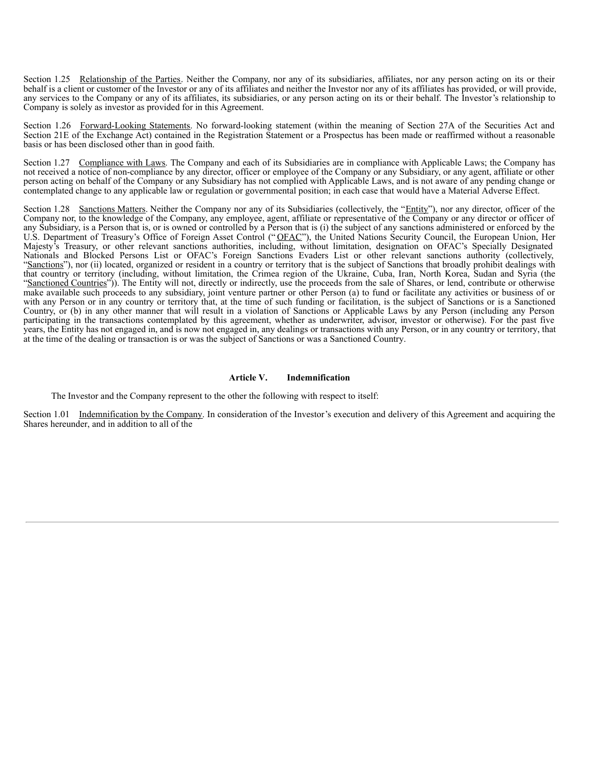Section 1.25 Relationship of the Parties. Neither the Company, nor any of its subsidiaries, affiliates, nor any person acting on its or their behalf is a client or customer of the Investor or any of its affiliates and neither the Investor nor any of its affiliates has provided, or will provide, any services to the Company or any of its affiliates, its subsidiaries, or any person acting on its or their behalf. The Investor's relationship to Company is solely as investor as provided for in this Agreement.

Section 1.26 Forward-Looking Statements. No forward-looking statement (within the meaning of Section 27A of the Securities Act and Section 21E of the Exchange Act) contained in the Registration Statement or a Prospectus has been made or reaffirmed without a reasonable basis or has been disclosed other than in good faith.

Section 1.27 Compliance with Laws. The Company and each of its Subsidiaries are in compliance with Applicable Laws; the Company has not received a notice of non-compliance by any director, officer or employee of the Company or any Subsidiary, or any agent, affiliate or other person acting on behalf of the Company or any Subsidiary has not complied with Applicable Laws, and is not aware of any pending change or contemplated change to any applicable law or regulation or governmental position; in each case that would have a Material Adverse Effect.

Section 1.28 Sanctions Matters. Neither the Company nor any of its Subsidiaries (collectively, the "Entity"), nor any director, officer of the Company nor, to the knowledge of the Company, any employee, agent, affiliate or representative of the Company or any director or officer of any Subsidiary, is a Person that is, or is owned or controlled by a Person that is (i) the subject of any sanctions administered or enforced by the U.S. Department of Treasury's Office of Foreign Asset Control ("OFAC"), the United Nations Security Council, the European Union, Her Majesty's Treasury, or other relevant sanctions authorities, including, without limitation, designation on OFAC's Specially Designated Nationals and Blocked Persons List or OFAC's Foreign Sanctions Evaders List or other relevant sanctions authority (collectively, "Sanctions"), nor (ii) located, organized or resident in a country or territory that is the subject of Sanctions that broadly prohibit dealings with that country or territory (including, without limitation, the Crimea region of the Ukraine, Cuba, Iran, North Korea, Sudan and Syria (the "Sanctioned Countries")). The Entity will not, directly or indirectly, use the proceeds from the sale of Shares, or lend, contribute or otherwise make available such proceeds to any subsidiary, joint venture partner or other Person (a) to fund or facilitate any activities or business of or with any Person or in any country or territory that, at the time of such funding or facilitation, is the subject of Sanctions or is a Sanctioned Country, or (b) in any other manner that will result in a violation of Sanctions or Applicable Laws by any Person (including any Person participating in the transactions contemplated by this agreement, whether as underwriter, advisor, investor or otherwise). For the past five years, the Entity has not engaged in, and is now not engaged in, any dealings or transactions with any Person, or in any country or territory, that at the time of the dealing or transaction is or was the subject of Sanctions or was a Sanctioned Country.

#### **Article V. Indemnification**

The Investor and the Company represent to the other the following with respect to itself:

Section 1.01 Indemnification by the Company. In consideration of the Investor's execution and delivery of this Agreement and acquiring the Shares hereunder, and in addition to all of the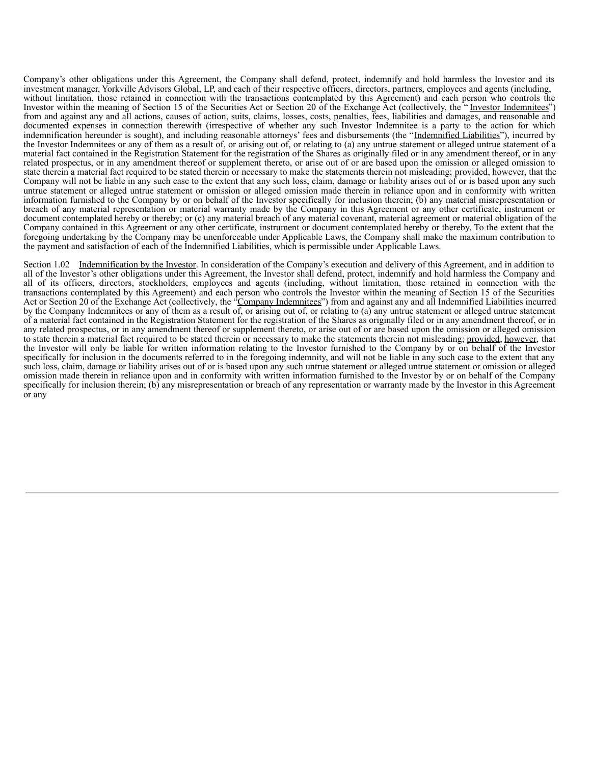Company's other obligations under this Agreement, the Company shall defend, protect, indemnify and hold harmless the Investor and its investment manager, Yorkville Advisors Global, LP, and each of their respective officers, directors, partners, employees and agents (including, without limitation, those retained in connection with the transactions contemplated by this Agreement) and each person who controls the Investor within the meaning of Section 15 of the Securities Act or Section 20 of the Exchange Act (collectively, the "Investor Indemnitees") from and against any and all actions, causes of action, suits, claims, losses, costs, penalties, fees, liabilities and damages, and reasonable and documented expenses in connection therewith (irrespective of whether any such Investor Indemnitee is a party to the action for which indemnification hereunder is sought), and including reasonable attorneys' fees and disbursements (the "Indemnified Liabilities"), incurred by the Investor Indemnitees or any of them as a result of, or arising out of, or relating to (a) any untrue statement or alleged untrue statement of a material fact contained in the Registration Statement for the registration of the Shares as originally filed or in any amendment thereof, or in any related prospectus, or in any amendment thereof or supplement thereto, or arise out of or are based upon the omission or alleged omission to state therein a material fact required to be stated therein or necessary to make the statements therein not misleading; provided, however, that the Company will not be liable in any such case to the extent that any such loss, claim, damage or liability arises out of or is based upon any such untrue statement or alleged untrue statement or omission or alleged omission made therein in reliance upon and in conformity with written information furnished to the Company by or on behalf of the Investor specifically for inclusion therein; (b) any material misrepresentation or breach of any material representation or material warranty made by the Company in this Agreement or any other certificate, instrument or document contemplated hereby or thereby; or (c) any material breach of any material covenant, material agreement or material obligation of the Company contained in this Agreement or any other certificate, instrument or document contemplated hereby or thereby. To the extent that the foregoing undertaking by the Company may be unenforceable under Applicable Laws, the Company shall make the maximum contribution to the payment and satisfaction of each of the Indemnified Liabilities, which is permissible under Applicable Laws.

Section 1.02 Indemnification by the Investor. In consideration of the Company's execution and delivery of this Agreement, and in addition to all of the Investor's other obligations under this Agreement, the Investor shall defend, protect, indemnify and hold harmless the Company and all of its officers, directors, stockholders, employees and agents (including, without limitation, those retained in connection with the transactions contemplated by this Agreement) and each person who controls the Investor within the meaning of Section 15 of the Securities Act or Section 20 of the Exchange Act (collectively, the "Company Indemnitees") from and against any and all Indemnified Liabilities incurred by the Company Indemnitees or any of them as a result of, or arising out of, or relating to (a) any untrue statement or alleged untrue statement of a material fact contained in the Registration Statement for the registration of the Shares as originally filed or in any amendment thereof, or in any related prospectus, or in any amendment thereof or supplement thereto, or arise out of or are based upon the omission or alleged omission to state therein a material fact required to be stated therein or necessary to make the statements therein not misleading; provided, however, that the Investor will only be liable for written information relating to the Investor furnished to the Company by or on behalf of the Investor specifically for inclusion in the documents referred to in the foregoing indemnity, and will not be liable in any such case to the extent that any such loss, claim, damage or liability arises out of or is based upon any such untrue statement or alleged untrue statement or omission or alleged omission made therein in reliance upon and in conformity with written information furnished to the Investor by or on behalf of the Company specifically for inclusion therein; (b) any misrepresentation or breach of any representation or warranty made by the Investor in this Agreement or any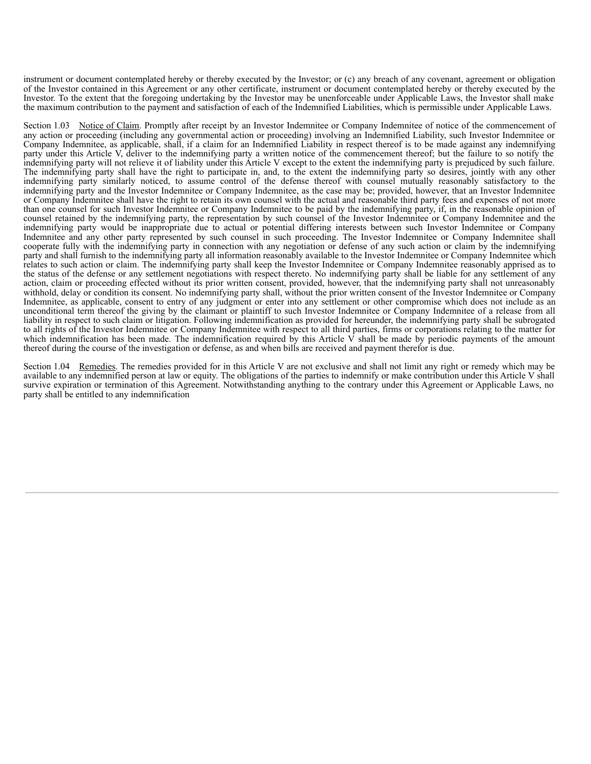instrument or document contemplated hereby or thereby executed by the Investor; or (c) any breach of any covenant, agreement or obligation of the Investor contained in this Agreement or any other certificate, instrument or document contemplated hereby or thereby executed by the Investor. To the extent that the foregoing undertaking by the Investor may be unenforceable under Applicable Laws, the Investor shall make the maximum contribution to the payment and satisfaction of each of the Indemnified Liabilities, which is permissible under Applicable Laws.

Section 1.03 Notice of Claim. Promptly after receipt by an Investor Indemnitee or Company Indemnitee of notice of the commencement of any action or proceeding (including any governmental action or proceeding) involving an Indemnified Liability, such Investor Indemnitee or Company Indemnitee, as applicable, shall, if a claim for an Indemnified Liability in respect thereof is to be made against any indemnifying party under this Article V, deliver to the indemnifying party a written notice of the commencement thereof; but the failure to so notify the indemnifying party will not relieve it of liability under this Article V except to the extent the indemnifying party is prejudiced by such failure. The indemnifying party shall have the right to participate in, and, to the extent the indemnifying party so desires, jointly with any other indemnifying party similarly noticed, to assume control of the defense thereof with counsel mutually reasonably satisfactory to the indemnifying party and the Investor Indemnitee or Company Indemnitee, as the case may be; provided, however, that an Investor Indemnitee or Company Indemnitee shall have the right to retain its own counsel with the actual and reasonable third party fees and expenses of not more than one counsel for such Investor Indemnitee or Company Indemnitee to be paid by the indemnifying party, if, in the reasonable opinion of counsel retained by the indemnifying party, the representation by such counsel of the Investor Indemnitee or Company Indemnitee and the indemnifying party would be inappropriate due to actual or potential differing interests between such Investor Indemnitee or Company Indemnitee and any other party represented by such counsel in such proceeding. The Investor Indemnitee or Company Indemnitee shall cooperate fully with the indemnifying party in connection with any negotiation or defense of any such action or claim by the indemnifying party and shall furnish to the indemnifying party all information reasonably available to the Investor Indemnitee or Company Indemnitee which relates to such action or claim. The indemnifying party shall keep the Investor Indemnitee or Company Indemnitee reasonably apprised as to the status of the defense or any settlement negotiations with respect thereto. No indemnifying party shall be liable for any settlement of any action, claim or proceeding effected without its prior written consent, provided, however, that the indemnifying party shall not unreasonably withhold, delay or condition its consent. No indemnifying party shall, without the prior written consent of the Investor Indemnitee or Company Indemnitee, as applicable, consent to entry of any judgment or enter into any settlement or other compromise which does not include as an unconditional term thereof the giving by the claimant or plaintiff to such Investor Indemnitee or Company Indemnitee of a release from all liability in respect to such claim or litigation. Following indemnification as provided for hereunder, the indemnifying party shall be subrogated to all rights of the Investor Indemnitee or Company Indemnitee with respect to all third parties, firms or corporations relating to the matter for which indemnification has been made. The indemnification required by this Article  $\overline{V}$  shall be made by periodic payments of the amount thereof during the course of the investigation or defense, as and when bills are received and payment therefor is due.

Section 1.04 Remedies. The remedies provided for in this Article V are not exclusive and shall not limit any right or remedy which may be available to any indemnified person at law or equity. The obligations of the parties to indemnify or make contribution under this Article V shall survive expiration or termination of this Agreement. Notwithstanding anything to the contrary under this Agreement or Applicable Laws, no party shall be entitled to any indemnification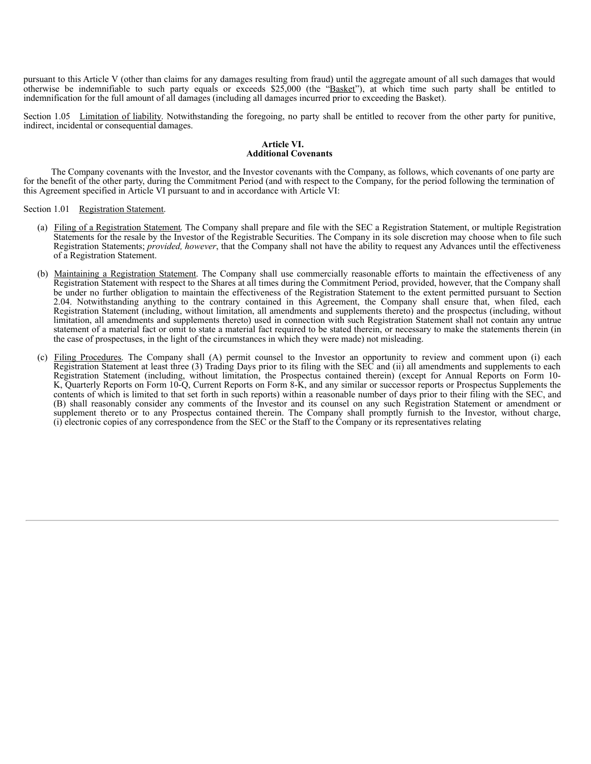pursuant to this Article V (other than claims for any damages resulting from fraud) until the aggregate amount of all such damages that would otherwise be indemnifiable to such party equals or exceeds  $$25,000$  (the "Basket"), at which time such party shall be entitled to indemnification for the full amount of all damages (including all damages incurred prior to exceeding the Basket).

Section 1.05 Limitation of liability. Notwithstanding the foregoing, no party shall be entitled to recover from the other party for punitive, indirect, incidental or consequential damages.

#### **Article VI. Additional Covenants**

The Company covenants with the Investor, and the Investor covenants with the Company, as follows, which covenants of one party are for the benefit of the other party, during the Commitment Period (and with respect to the Company, for the period following the termination of this Agreement specified in Article VI pursuant to and in accordance with Article VI:

Section 1.01 Registration Statement.

- (a) Filing of a Registration Statement. The Company shall prepare and file with the SEC a Registration Statement, or multiple Registration Statements for the resale by the Investor of the Registrable Securities. The Company in its sole discretion may choose when to file such Registration Statements; *provided, however*, that the Company shall not have the ability to request any Advances until the effectiveness of a Registration Statement.
- (b) Maintaining a Registration Statement. The Company shall use commercially reasonable efforts to maintain the effectiveness of any Registration Statement with respect to the Shares at all times during the Commitment Period, provided, however, that the Company shall be under no further obligation to maintain the effectiveness of the Registration Statement to the extent permitted pursuant to Section 2.04. Notwithstanding anything to the contrary contained in this Agreement, the Company shall ensure that, when filed, each Registration Statement (including, without limitation, all amendments and supplements thereto) and the prospectus (including, without limitation, all amendments and supplements thereto) used in connection with such Registration Statement shall not contain any untrue statement of a material fact or omit to state a material fact required to be stated therein, or necessary to make the statements therein (in the case of prospectuses, in the light of the circumstances in which they were made) not misleading.
- (c) Filing Procedures. The Company shall (A) permit counsel to the Investor an opportunity to review and comment upon (i) each Registration Statement at least three (3) Trading Days prior to its filing with the SEC and (ii) all amendments and supplements to each Registration Statement (including, without limitation, the Prospectus contained therein) (except for Annual Reports on Form 10- K, Quarterly Reports on Form 10-Q, Current Reports on Form 8-K, and any similar or successor reports or Prospectus Supplements the contents of which is limited to that set forth in such reports) within a reasonable number of days prior to their filing with the SEC, and (B) shall reasonably consider any comments of the Investor and its counsel on any such Registration Statement or amendment or supplement thereto or to any Prospectus contained therein. The Company shall promptly furnish to the Investor, without charge, (i) electronic copies of any correspondence from the SEC or the Staff to the Company or its representatives relating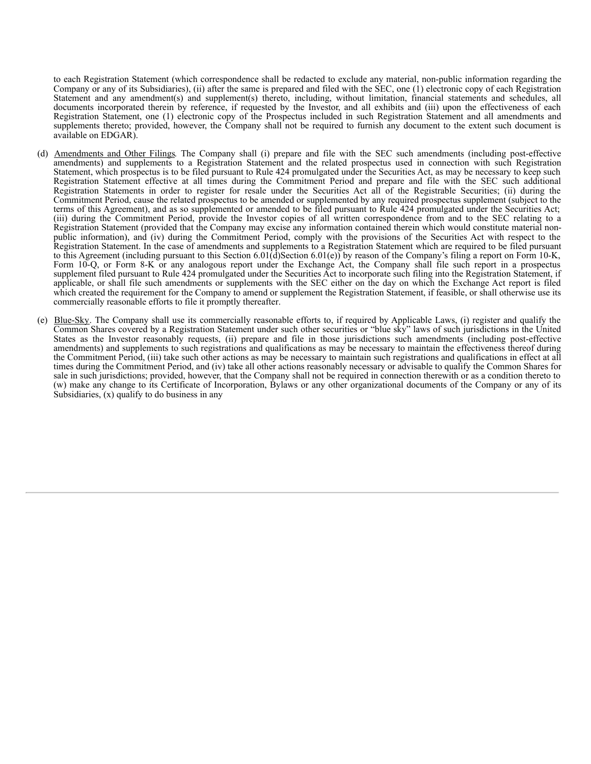to each Registration Statement (which correspondence shall be redacted to exclude any material, non-public information regarding the Company or any of its Subsidiaries), (ii) after the same is prepared and filed with the SEC, one (1) electronic copy of each Registration Statement and any amendment(s) and supplement(s) thereto, including, without limitation, financial statements and schedules, all documents incorporated therein by reference, if requested by the Investor, and all exhibits and (iii) upon the effectiveness of each Registration Statement, one (1) electronic copy of the Prospectus included in such Registration Statement and all amendments and supplements thereto; provided, however, the Company shall not be required to furnish any document to the extent such document is available on EDGAR).

- (d) Amendments and Other Filings. The Company shall (i) prepare and file with the SEC such amendments (including post-effective amendments) and supplements to a Registration Statement and the related prospectus used in connection with such Registration Statement, which prospectus is to be filed pursuant to Rule 424 promulgated under the Securities Act, as may be necessary to keep such Registration Statement effective at all times during the Commitment Period and prepare and file with the SEC such additional Registration Statements in order to register for resale under the Securities Act all of the Registrable Securities; (ii) during the Commitment Period, cause the related prospectus to be amended or supplemented by any required prospectus supplement (subject to the terms of this Agreement), and as so supplemented or amended to be filed pursuant to Rule 424 promulgated under the Securities Act; (iii) during the Commitment Period, provide the Investor copies of all written correspondence from and to the SEC relating to a Registration Statement (provided that the Company may excise any information contained therein which would constitute material nonpublic information), and (iv) during the Commitment Period, comply with the provisions of the Securities Act with respect to the Registration Statement. In the case of amendments and supplements to a Registration Statement which are required to be filed pursuant to this Agreement (including pursuant to this Section 6.01(d)Section 6.01(e)) by reason of the Company's filing a report on Form 10-K, Form 10-Q, or Form 8-K or any analogous report under the Exchange Act, the Company shall file such report in a prospectus supplement filed pursuant to Rule 424 promulgated under the Securities Act to incorporate such filing into the Registration Statement, if applicable, or shall file such amendments or supplements with the SEC either on the day on which the Exchange Act report is filed which created the requirement for the Company to amend or supplement the Registration Statement, if feasible, or shall otherwise use its commercially reasonable efforts to file it promptly thereafter.
- (e) Blue-Sky. The Company shall use its commercially reasonable efforts to, if required by Applicable Laws, (i) register and qualify the Common Shares covered by a Registration Statement under such other securities or "blue sky" laws of such jurisdictions in the United States as the Investor reasonably requests, (ii) prepare and file in those jurisdictions such amendments (including post-effective amendments) and supplements to such registrations and qualifications as may be necessary to maintain the effectiveness thereof during the Commitment Period, (iii) take such other actions as may be necessary to maintain such registrations and qualifications in effect at all times during the Commitment Period, and (iv) take all other actions reasonably necessary or advisable to qualify the Common Shares for sale in such jurisdictions; provided, however, that the Company shall not be required in connection therewith or as a condition thereto to (w) make any change to its Certificate of Incorporation, Bylaws or any other organizational documents of the Company or any of its Subsidiaries, (x) qualify to do business in any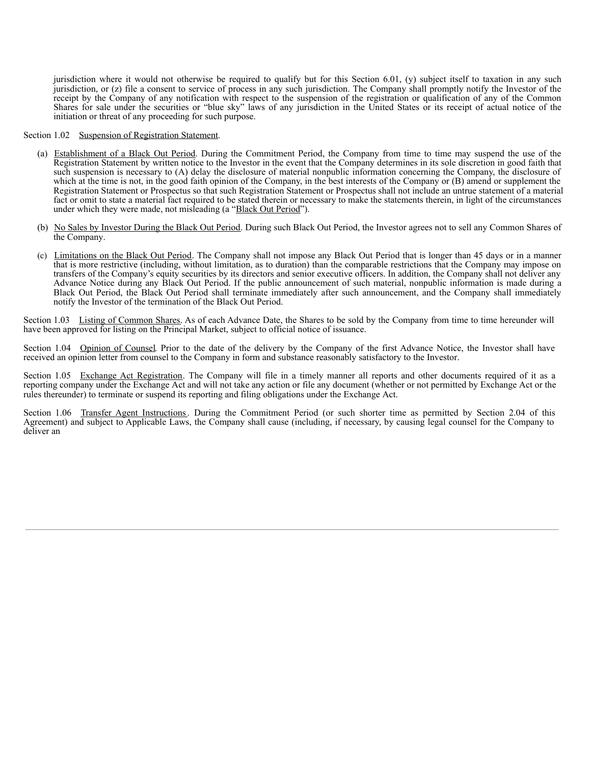jurisdiction where it would not otherwise be required to qualify but for this Section 6.01, (y) subject itself to taxation in any such jurisdiction, or (z) file a consent to service of process in any such jurisdiction. The Company shall promptly notify the Investor of the receipt by the Company of any notification with respect to the suspension of the registration or qualification of any of the Common Shares for sale under the securities or "blue sky" laws of any jurisdiction in the United States or its receipt of actual notice of the initiation or threat of any proceeding for such purpose.

Section 1.02 Suspension of Registration Statement.

- (a) Establishment of a Black Out Period. During the Commitment Period, the Company from time to time may suspend the use of the Registration Statement by written notice to the Investor in the event that the Company determines in its sole discretion in good faith that such suspension is necessary to (A) delay the disclosure of material nonpublic information concerning the Company, the disclosure of which at the time is not, in the good faith opinion of the Company, in the best interests of the Company or (B) amend or supplement the Registration Statement or Prospectus so that such Registration Statement or Prospectus shall not include an untrue statement of a material fact or omit to state a material fact required to be stated therein or necessary to make the statements therein, in light of the circumstances under which they were made, not misleading (a "Black Out Period").
- (b) No Sales by Investor During the Black Out Period. During such Black Out Period, the Investor agrees not to sell any Common Shares of the Company.
- (c) Limitations on the Black Out Period. The Company shall not impose any Black Out Period that is longer than 45 days or in a manner that is more restrictive (including, without limitation, as to duration) than the comparable restrictions that the Company may impose on transfers of the Company's equity securities by its directors and senior executive officers. In addition, the Company shall not deliver any Advance Notice during any Black Out Period. If the public announcement of such material, nonpublic information is made during a Black Out Period, the Black Out Period shall terminate immediately after such announcement, and the Company shall immediately notify the Investor of the termination of the Black Out Period.

Section 1.03 Listing of Common Shares. As of each Advance Date, the Shares to be sold by the Company from time to time hereunder will have been approved for listing on the Principal Market, subject to official notice of issuance.

Section 1.04 Opinion of Counsel. Prior to the date of the delivery by the Company of the first Advance Notice, the Investor shall have received an opinion letter from counsel to the Company in form and substance reasonably satisfactory to the Investor.

Section 1.05 Exchange Act Registration. The Company will file in a timely manner all reports and other documents required of it as a reporting company under the Exchange Act and will not take any action or file any document (whether or not permitted by Exchange Act or the rules thereunder) to terminate or suspend its reporting and filing obligations under the Exchange Act.

Section 1.06 Transfer Agent Instructions. During the Commitment Period (or such shorter time as permitted by Section 2.04 of this Agreement) and subject to Applicable Laws, the Company shall cause (including, if necessary, by causing legal counsel for the Company to deliver an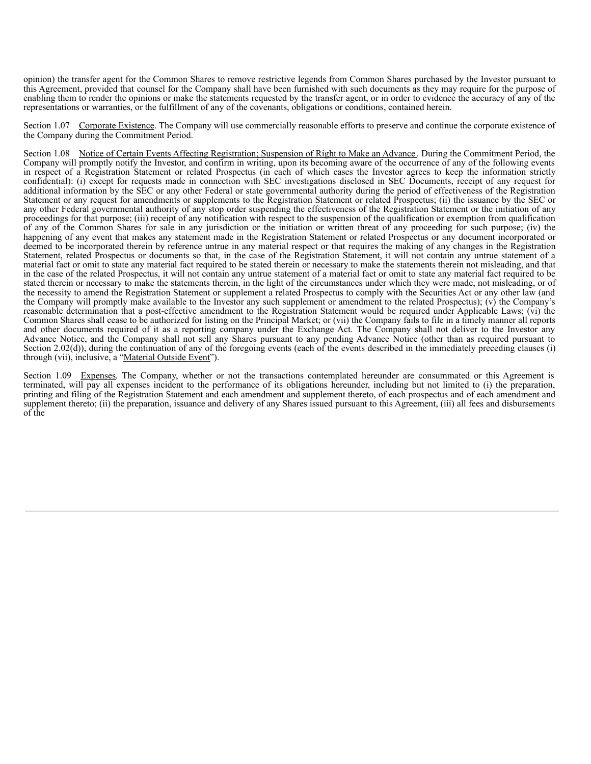opinion) the transfer agent for the Common Shares to remove restrictive legends from Common Shares purchased by the Investor pursuant to this Agreement, provided that counsel for the Company shall have been furnished with such documents as they may require for the purpose of enabling them to render the opinions or make the statements requested by the transfer agent, or in order to evidence the accuracy of any of the representations or warranties, or the fulfillment of any of the covenants, obligations or conditions, contained herein.

Section 1.07 Corporate Existence. The Company will use commercially reasonable efforts to preserve and continue the corporate existence of the Company during the Commitment Period.

Section 1.08 Notice of Certain Events Affecting Registration; Suspension of Right to Make an Advance. During the Commitment Period, the Company will promptly notify the Investor, and confirm in writing, upon its becoming aware of the occurrence of any of the following events in respect of a Registration Statement or related Prospectus (in each of which cases the Investor agrees to keep the information strictly confidential): (i) except for requests made in connection with SEC investigations disclosed in SEC Documents, receipt of any request for additional information by the SEC or any other Federal or state governmental authority during the period of effectiveness of the Registration Statement or any request for amendments or supplements to the Registration Statement or related Prospectus; (ii) the issuance by the SEC or any other Federal governmental authority of any stop order suspending the effectiveness of the Registration Statement or the initiation of any proceedings for that purpose; (iii) receipt of any notification with respect to the suspension of the qualification or exemption from qualification of any of the Common Shares for sale in any jurisdiction or the initiation or written threat of any proceeding for such purpose; (iv) the happening of any event that makes any statement made in the Registration Statement or related Prospectus or any document incorporated or deemed to be incorporated therein by reference untrue in any material respect or that requires the making of any changes in the Registration Statement, related Prospectus or documents so that, in the case of the Registration Statement, it will not contain any untrue statement of a material fact or omit to state any material fact required to be stated therein or necessary to make the statements therein not misleading, and that in the case of the related Prospectus, it will not contain any untrue statement of a material fact or omit to state any material fact required to be stated therein or necessary to make the statements therein, in the light of the circumstances under which they were made, not misleading, or of the necessity to amend the Registration Statement or supplement a related Prospectus to comply with the Securities Act or any other law (and the Company will promptly make available to the Investor any such supplement or amendment to the related Prospectus); (v) the Company's reasonable determination that a post-effective amendment to the Registration Statement would be required under Applicable Laws; (vi) the Common Shares shall cease to be authorized for listing on the Principal Market; or (vii) the Company fails to file in a timely manner all reports and other documents required of it as a reporting company under the Exchange Act. The Company shall not deliver to the Investor any Advance Notice, and the Company shall not sell any Shares pursuant to any pending Advance Notice (other than as required pursuant to Section 2.02(d)), during the continuation of any of the foregoing events (each of the events described in the immediately preceding clauses (i) through (vii), inclusive, a "Material Outside Event").

Section 1.09 Expenses. The Company, whether or not the transactions contemplated hereunder are consummated or this Agreement is terminated, will pay all expenses incident to the performance of its obligations hereunder, including but not limited to (i) the preparation, printing and filing of the Registration Statement and each amendment and supplement thereto, of each prospectus and of each amendment and supplement thereto; (ii) the preparation, issuance and delivery of any Shares issued pursuant to this Agreement, (iii) all fees and disbursements of the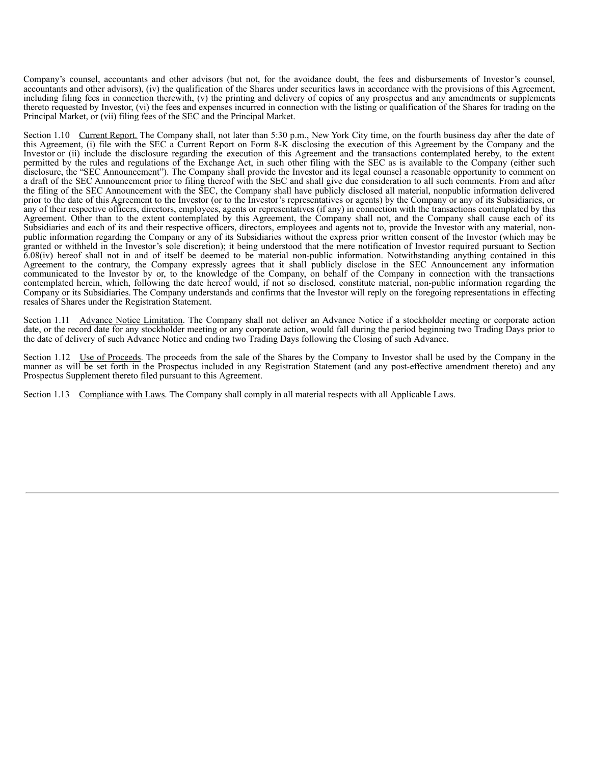Company's counsel, accountants and other advisors (but not, for the avoidance doubt, the fees and disbursements of Investor's counsel, accountants and other advisors), (iv) the qualification of the Shares under securities laws in accordance with the provisions of this Agreement, including filing fees in connection therewith, (v) the printing and delivery of copies of any prospectus and any amendments or supplements thereto requested by Investor, (vi) the fees and expenses incurred in connection with the listing or qualification of the Shares for trading on the Principal Market, or (vii) filing fees of the SEC and the Principal Market.

Section 1.10 Current Report. The Company shall, not later than 5:30 p.m., New York City time, on the fourth business day after the date of this Agreement, (i) file with the SEC a Current Report on Form 8-K disclosing the execution of this Agreement by the Company and the Investor or (ii) include the disclosure regarding the execution of this Agreement and the transactions contemplated hereby, to the extent permitted by the rules and regulations of the Exchange Act, in such other filing with the SEC as is available to the Company (either such disclosure, the "SEC Announcement"). The Company shall provide the Investor and its legal counsel a reasonable opportunity to comment on a draft of the SEC Announcement prior to filing thereof with the SEC and shall give due consideration to all such comments. From and after the filing of the SEC Announcement with the SEC, the Company shall have publicly disclosed all material, nonpublic information delivered prior to the date of this Agreement to the Investor (or to the Investor's representatives or agents) by the Company or any of its Subsidiaries, or any of their respective officers, directors, employees, agents or representatives (if any) in connection with the transactions contemplated by this Agreement. Other than to the extent contemplated by this Agreement, the Company shall not, and the Company shall cause each of its Subsidiaries and each of its and their respective officers, directors, employees and agents not to, provide the Investor with any material, nonpublic information regarding the Company or any of its Subsidiaries without the express prior written consent of the Investor (which may be granted or withheld in the Investor's sole discretion); it being understood that the mere notification of Investor required pursuant to Section 6.08(iv) hereof shall not in and of itself be deemed to be material non-public information. Notwithstanding anything contained in this Agreement to the contrary, the Company expressly agrees that it shall publicly disclose in the SEC Announcement any information communicated to the Investor by or, to the knowledge of the Company, on behalf of the Company in connection with the transactions contemplated herein, which, following the date hereof would, if not so disclosed, constitute material, non-public information regarding the Company or its Subsidiaries. The Company understands and confirms that the Investor will reply on the foregoing representations in effecting resales of Shares under the Registration Statement.

Section 1.11 Advance Notice Limitation. The Company shall not deliver an Advance Notice if a stockholder meeting or corporate action date, or the record date for any stockholder meeting or any corporate action, would fall during the period beginning two Trading Days prior to the date of delivery of such Advance Notice and ending two Trading Days following the Closing of such Advance.

Section 1.12 Use of Proceeds. The proceeds from the sale of the Shares by the Company to Investor shall be used by the Company in the manner as will be set forth in the Prospectus included in any Registration Statement (and any post-effective amendment thereto) and any Prospectus Supplement thereto filed pursuant to this Agreement.

Section 1.13 Compliance with Laws. The Company shall comply in all material respects with all Applicable Laws.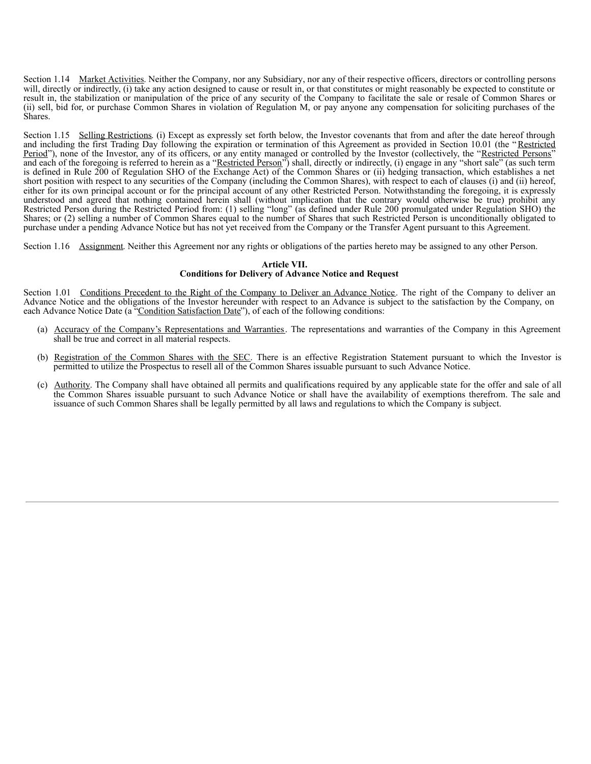Section 1.14 Market Activities. Neither the Company, nor any Subsidiary, nor any of their respective officers, directors or controlling persons will, directly or indirectly, (i) take any action designed to cause or result in, or that constitutes or might reasonably be expected to constitute or result in, the stabilization or manipulation of the price of any security of the Company to facilitate the sale or resale of Common Shares or (ii) sell, bid for, or purchase Common Shares in violation of Regulation M, or pay anyone any compensation for soliciting purchases of the Shares.

Section 1.15 Selling Restrictions. (i) Except as expressly set forth below, the Investor covenants that from and after the date hereof through and including the first Trading Day following the expiration or termination of this Agreement as provided in Section 10.01 (the "Restricted Period"), none of the Investor, any of its officers, or any entity managed or controlled by the Investor (collectively, the "Restricted Persons" and each of the foregoing is referred to herein as a "Restricted Person") shall, directly or indirectly, (i) engage in any "short sale" (as such term is defined in Rule 200 of Regulation SHO of the Exchange Act) of the Common Shares or (ii) hedging transaction, which establishes a net short position with respect to any securities of the Company (including the Common Shares), with respect to each of clauses (i) and (ii) hereof, either for its own principal account or for the principal account of any other Restricted Person. Notwithstanding the foregoing, it is expressly understood and agreed that nothing contained herein shall (without implication that the contrary would otherwise be true) prohibit any Restricted Person during the Restricted Period from: (1) selling "long" (as defined under Rule 200 promulgated under Regulation SHO) the Shares; or (2) selling a number of Common Shares equal to the number of Shares that such Restricted Person is unconditionally obligated to purchase under a pending Advance Notice but has not yet received from the Company or the Transfer Agent pursuant to this Agreement.

Section 1.16 Assignment. Neither this Agreement nor any rights or obligations of the parties hereto may be assigned to any other Person.

## **Article VII.**

### **Conditions for Delivery of Advance Notice and Request**

Section 1.01 Conditions Precedent to the Right of the Company to Deliver an Advance Notice. The right of the Company to deliver an Advance Notice and the obligations of the Investor hereunder with respect to an Advance is subject to the satisfaction by the Company, on each Advance Notice Date (a "Condition Satisfaction Date"), of each of the following conditions:

- (a) Accuracy of the Company's Representations and Warranties. The representations and warranties of the Company in this Agreement shall be true and correct in all material respects.
- (b) Registration of the Common Shares with the SEC. There is an effective Registration Statement pursuant to which the Investor is permitted to utilize the Prospectus to resell all of the Common Shares issuable pursuant to such Advance Notice.
- (c) Authority. The Company shall have obtained all permits and qualifications required by any applicable state for the offer and sale of all the Common Shares issuable pursuant to such Advance Notice or shall have the availability of exemptions therefrom. The sale and issuance of such Common Shares shall be legally permitted by all laws and regulations to which the Company is subject.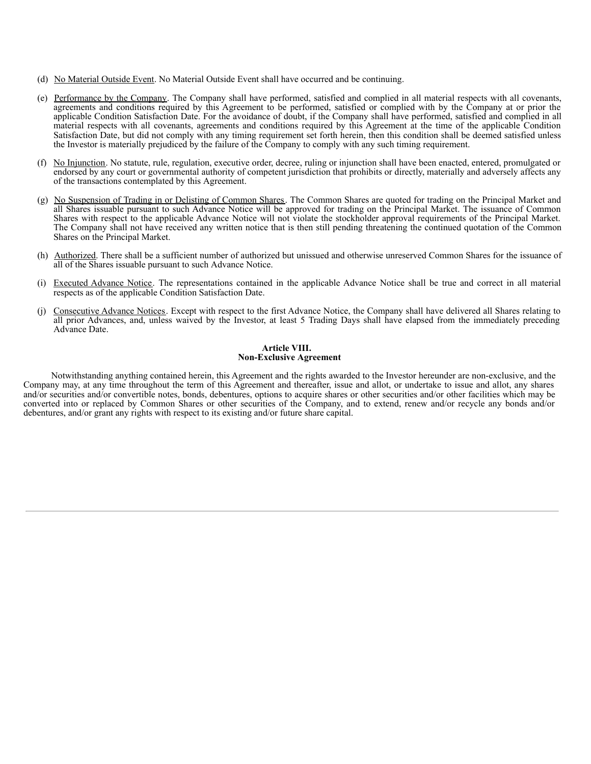- (d) No Material Outside Event. No Material Outside Event shall have occurred and be continuing.
- (e) Performance by the Company. The Company shall have performed, satisfied and complied in all material respects with all covenants, agreements and conditions required by this Agreement to be performed, satisfied or complied with by the Company at or prior the applicable Condition Satisfaction Date. For the avoidance of doubt, if the Company shall have performed, satisfied and complied in all material respects with all covenants, agreements and conditions required by this Agreement at the time of the applicable Condition Satisfaction Date, but did not comply with any timing requirement set forth herein, then this condition shall be deemed satisfied unless the Investor is materially prejudiced by the failure of the Company to comply with any such timing requirement.
- (f) No Injunction. No statute, rule, regulation, executive order, decree, ruling or injunction shall have been enacted, entered, promulgated or endorsed by any court or governmental authority of competent jurisdiction that prohibits or directly, materially and adversely affects any of the transactions contemplated by this Agreement.
- (g) No Suspension of Trading in or Delisting of Common Shares. The Common Shares are quoted for trading on the Principal Market and all Shares issuable pursuant to such Advance Notice will be approved for trading on the Principal Market. The issuance of Common Shares with respect to the applicable Advance Notice will not violate the stockholder approval requirements of the Principal Market. The Company shall not have received any written notice that is then still pending threatening the continued quotation of the Common Shares on the Principal Market.
- (h) Authorized. There shall be a sufficient number of authorized but unissued and otherwise unreserved Common Shares for the issuance of all of the Shares issuable pursuant to such Advance Notice.
- (i) Executed Advance Notice. The representations contained in the applicable Advance Notice shall be true and correct in all material respects as of the applicable Condition Satisfaction Date.
- (j) Consecutive Advance Notices. Except with respect to the first Advance Notice, the Company shall have delivered all Shares relating to all prior Advances, and, unless waived by the Investor, at least 5 Trading Days shall have elapsed from the immediately preceding Advance Date.

#### **Article VIII. Non-Exclusive Agreement**

Notwithstanding anything contained herein, this Agreement and the rights awarded to the Investor hereunder are non-exclusive, and the Company may, at any time throughout the term of this Agreement and thereafter, issue and allot, or undertake to issue and allot, any shares and/or securities and/or convertible notes, bonds, debentures, options to acquire shares or other securities and/or other facilities which may be converted into or replaced by Common Shares or other securities of the Company, and to extend, renew and/or recycle any bonds and/or debentures, and/or grant any rights with respect to its existing and/or future share capital.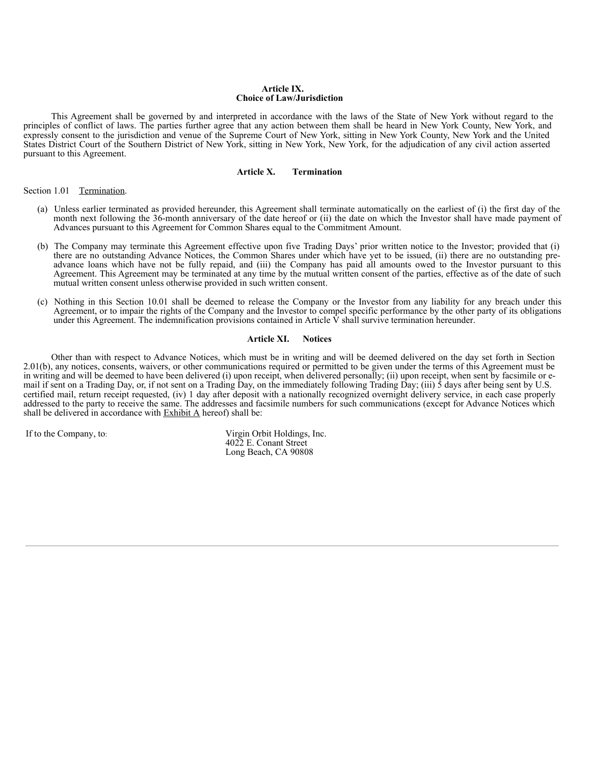#### **Article IX. Choice of Law/Jurisdiction**

This Agreement shall be governed by and interpreted in accordance with the laws of the State of New York without regard to the principles of conflict of laws. The parties further agree that any action between them shall be heard in New York County, New York, and expressly consent to the jurisdiction and venue of the Supreme Court of New York, sitting in New York County, New York and the United States District Court of the Southern District of New York, sitting in New York, New York, for the adjudication of any civil action asserted pursuant to this Agreement.

#### **Article X. Termination**

Section 1.01 Termination.

- (a) Unless earlier terminated as provided hereunder, this Agreement shall terminate automatically on the earliest of (i) the first day of the month next following the 36-month anniversary of the date hereof or (ii) the date on which the Investor shall have made payment of Advances pursuant to this Agreement for Common Shares equal to the Commitment Amount.
- (b) The Company may terminate this Agreement effective upon five Trading Days' prior written notice to the Investor; provided that (i) there are no outstanding Advance Notices, the Common Shares under which have yet to be issued, (ii) there are no outstanding preadvance loans which have not be fully repaid, and (iii) the Company has paid all amounts owed to the Investor pursuant to this Agreement. This Agreement may be terminated at any time by the mutual written consent of the parties, effective as of the date of such mutual written consent unless otherwise provided in such written consent.
- (c) Nothing in this Section 10.01 shall be deemed to release the Company or the Investor from any liability for any breach under this Agreement, or to impair the rights of the Company and the Investor to compel specific performance by the other party of its obligations under this Agreement. The indemnification provisions contained in Article  $\hat{V}$  shall survive termination hereunder.

#### **Article XI. Notices**

Other than with respect to Advance Notices, which must be in writing and will be deemed delivered on the day set forth in Section 2.01(b), any notices, consents, waivers, or other communications required or permitted to be given under the terms of this Agreement must be in writing and will be deemed to have been delivered (i) upon receipt, when delivered personally; (ii) upon receipt, when sent by facsimile or email if sent on a Trading Day, or, if not sent on a Trading Day, on the immediately following Trading Day; (iii)  $\hat{5}$  days after being sent by U.S. certified mail, return receipt requested, (iv) 1 day after deposit with a nationally recognized overnight delivery service, in each case properly addressed to the party to receive the same. The addresses and facsimile numbers for such communications (except for Advance Notices which shall be delivered in accordance with  $Exhibit A$  hereof) shall be:

If to the Company, to: Virgin Orbit Holdings, Inc. 4022 E. Conant Street Long Beach, CA 90808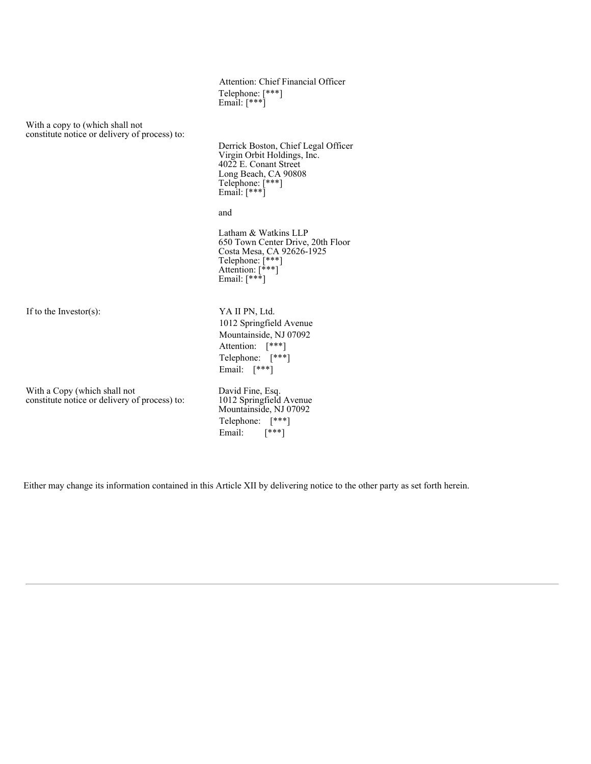Attention: Chief Financial Officer Telephone: [\*\*\*] Email:  $[***]$ 

With a copy to (which shall not constitute notice or delivery of process) to:

> Derrick Boston, Chief Legal Officer Virgin Orbit Holdings, Inc. 4022 E. Conant Street Long Beach, CA 90808 Telephone: [\*\*\*] Email: [\*\*\*]

and

Latham & Watkins LLP 650 Town Center Drive, 20th Floor Costa Mesa, CA 92626-1925 Telephone: [\*\*\*] Attention: [\*\*\*] Email: [\*\*\*]

If to the Investor(s): YA II PN, Ltd.

With a Copy (which shall not constitute notice or delivery of process) to: Telephone: [\*\*\*] Email: [\*\*\*] David Fine, Esq. 1012 Springfield Avenue Mountainside, NJ 07092

Telephone: [\*\*\*] Email:  $[$ \*\*\*]

1012 Springfield Avenue Mountainside, NJ 07092 Attention: [\*\*\*]

Either may change its information contained in this Article XII by delivering notice to the other party as set forth herein.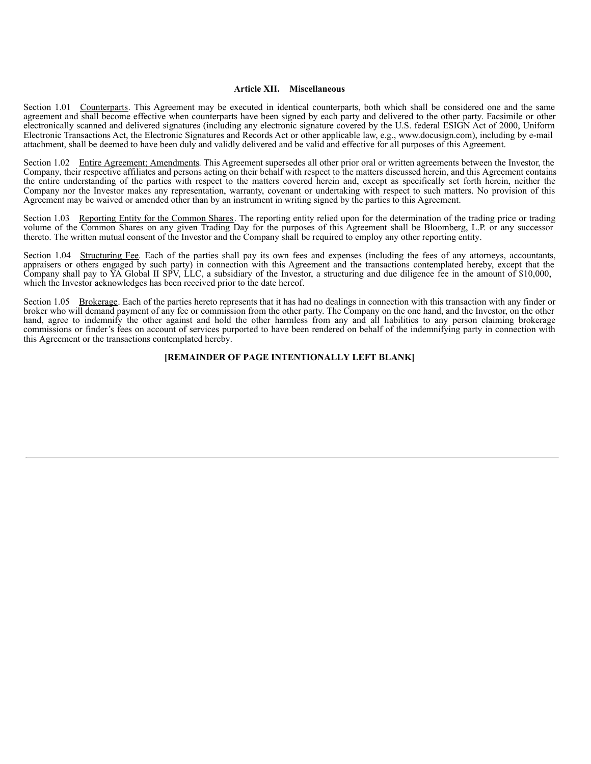#### **Article XII. Miscellaneous**

Section 1.01 Counterparts. This Agreement may be executed in identical counterparts, both which shall be considered one and the same agreement and shall become effective when counterparts have been signed by each party and delivered to the other party. Facsimile or other electronically scanned and delivered signatures (including any electronic signature covered by the U.S. federal ESIGN Act of 2000, Uniform Electronic Transactions Act, the Electronic Signatures and Records Act or other applicable law, e.g., www.docusign.com), including by e-mail attachment, shall be deemed to have been duly and validly delivered and be valid and effective for all purposes of this Agreement.

Section 1.02 Entire Agreement; Amendments. This Agreement supersedes all other prior oral or written agreements between the Investor, the Company, their respective affiliates and persons acting on their behalf with respect to the matters discussed herein, and this Agreement contains the entire understanding of the parties with respect to the matters covered herein and, except as specifically set forth herein, neither the Company nor the Investor makes any representation, warranty, covenant or undertaking with respect to such matters. No provision of this Agreement may be waived or amended other than by an instrument in writing signed by the parties to this Agreement.

Section 1.03 Reporting Entity for the Common Shares. The reporting entity relied upon for the determination of the trading price or trading volume of the Common Shares on any given Trading Day for the purposes of this Agreement shall be Bloomberg, L.P. or any successor thereto. The written mutual consent of the Investor and the Company shall be required to employ any other reporting entity.

Section 1.04 Structuring Fee. Each of the parties shall pay its own fees and expenses (including the fees of any attorneys, accountants, appraisers or others engaged by such party) in connection with this Agreement and the transactions contemplated hereby, except that the Company shall pay to YA Global II SPV, LLC, a subsidiary of the Investor, a structuring and due diligence fee in the amount of \$10,000, which the Investor acknowledges has been received prior to the date hereof.

Section 1.05 Brokerage. Each of the parties hereto represents that it has had no dealings in connection with this transaction with any finder or broker who will demand payment of any fee or commission from the other party. The Company on the one hand, and the Investor, on the other hand, agree to indemnify the other against and hold the other harmless from any and all liabilities to any person claiming brokerage commissions or finder's fees on account of services purported to have been rendered on behalf of the indemnifying party in connection with this Agreement or the transactions contemplated hereby.

#### **[REMAINDER OF PAGE INTENTIONALLY LEFT BLANK]**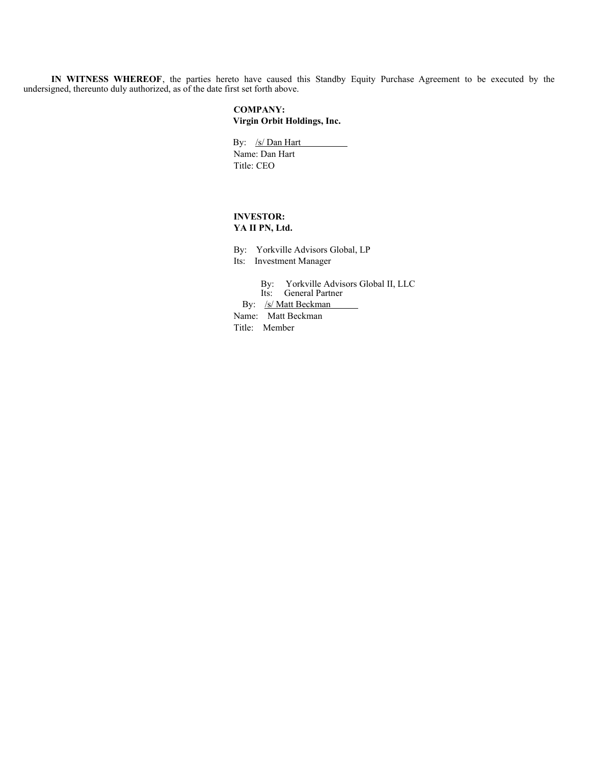**IN WITNESS WHEREOF**, the parties hereto have caused this Standby Equity Purchase Agreement to be executed by the undersigned, thereunto duly authorized, as of the date first set forth above.

## **COMPANY: Virgin Orbit Holdings, Inc.**

By: /s/ Dan Hart Name: Dan Hart Title: CEO

## **INVESTOR: YA II PN, Ltd.**

By: Yorkville Advisors Global, LP Its: Investment Manager

By: Yorkville Advisors Global II, LLC Its: General Partner By: /s/ Matt Beckman Name: Matt Beckman

Title: Member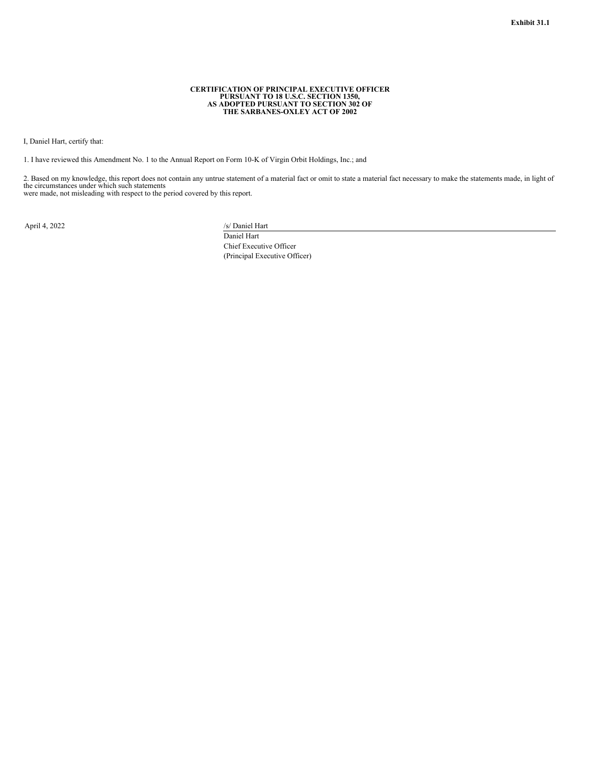## **CERTIFICATION OF PRINCIPAL EXECUTIVE OFFICER PURSUANT TO 18 U.S.C. SECTION 1350, AS ADOPTED PURSUANT TO SECTION 302 OF THE SARBANES-OXLEY ACT OF 2002**

<span id="page-36-0"></span>I, Daniel Hart, certify that:

1. I have reviewed this Amendment No. 1 to the Annual Report on Form 10-K of Virgin Orbit Holdings, Inc.; and

2. Based on my knowledge, this report does not contain any untrue statement of a material fact or omit to state a material fact necessary to make the statements made, in light of the circumstances under which such statements

were made, not misleading with respect to the period covered by this report.

April 4, 2022 /s/ Daniel Hart

Daniel Hart Chief Executive Officer (Principal Executive Officer)